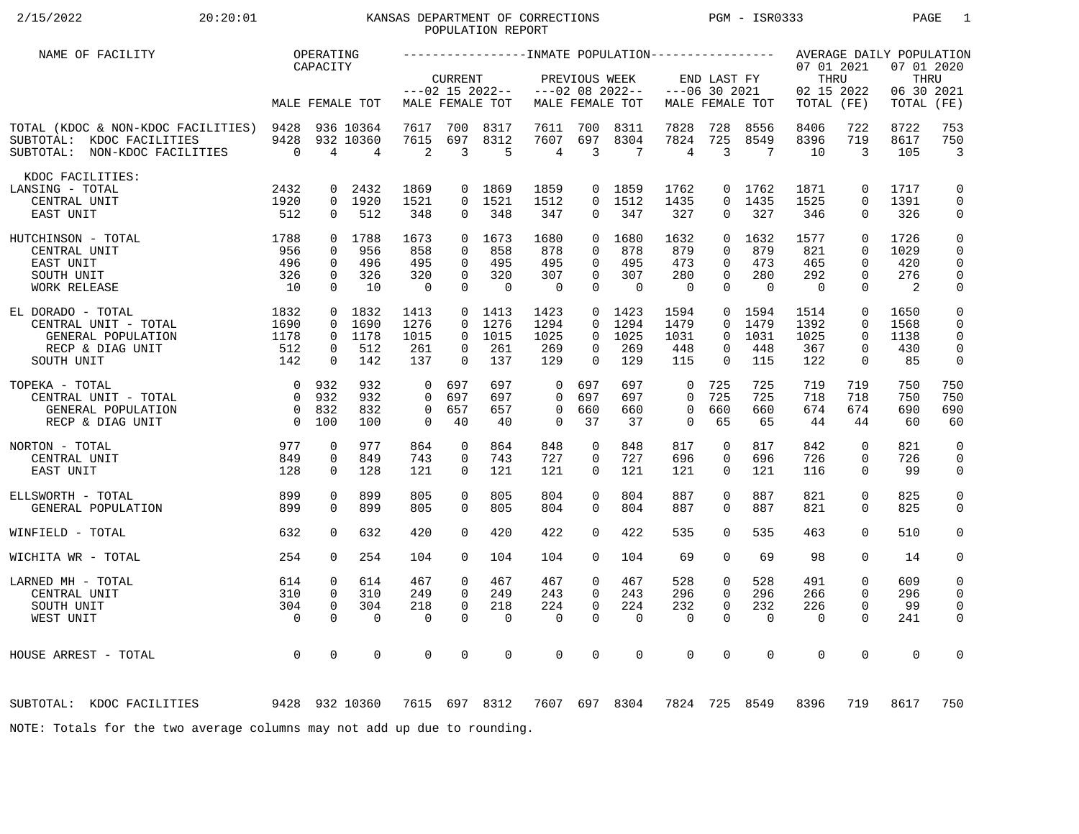# 2/15/2022 20:20:01 KANSAS DEPARTMENT OF CORRECTIONS PGM - ISR0333 PAGE 1 POPULATION REPORT

| NAME OF FACILITY                                                                                      |                                                                      | OPERATING                                             |                                      |                                    |                                              |                                        |                                                       |                                                 |                                        |                                                    |                                                         |                                    |                                    |                                                                   | AVERAGE DAILY POPULATION          |                                                                |
|-------------------------------------------------------------------------------------------------------|----------------------------------------------------------------------|-------------------------------------------------------|--------------------------------------|------------------------------------|----------------------------------------------|----------------------------------------|-------------------------------------------------------|-------------------------------------------------|----------------------------------------|----------------------------------------------------|---------------------------------------------------------|------------------------------------|------------------------------------|-------------------------------------------------------------------|-----------------------------------|----------------------------------------------------------------|
|                                                                                                       |                                                                      | CAPACITY                                              |                                      |                                    | <b>CURRENT</b>                               | $---02$ 15 2022--                      |                                                       | PREVIOUS WEEK                                   | $---02$ 08 2022--                      | $---06$ 30 2021                                    | END LAST FY                                             |                                    | 07 01 2021<br>THRU<br>02 15 2022   |                                                                   | 07 01 2020<br>THRU<br>06 30 2021  |                                                                |
|                                                                                                       |                                                                      |                                                       | MALE FEMALE TOT                      |                                    |                                              | MALE FEMALE TOT                        |                                                       |                                                 | MALE FEMALE TOT                        |                                                    |                                                         | MALE FEMALE TOT                    | TOTAL (FE)                         |                                                                   | TOTAL                             | (FE)                                                           |
| TOTAL (KDOC & NON-KDOC FACILITIES) 9428<br>SUBTOTAL: KDOC FACILITIES<br>SUBTOTAL: NON-KDOC FACILITIES | 9428<br>$\overline{0}$                                               | 4                                                     | 936 10364<br>932 10360<br>4          | 7617<br>7615<br>2                  | 700<br>697<br>3                              | 8317<br>8312<br>5                      | 7611<br>7607<br>4                                     | 700<br>697<br>$\overline{3}$                    | 8311<br>8304<br>7                      | 7828<br>7824<br>4                                  | 728<br>725<br>3                                         | 8556<br>8549<br>7                  | 8406<br>8396<br>10                 | 722<br>719<br>3                                                   | 8722<br>8617<br>105               | 753<br>750<br>$\overline{3}$                                   |
| KDOC FACILITIES:<br>LANSING - TOTAL                                                                   | 2432                                                                 | 0                                                     | 2432                                 | 1869                               | $\overline{0}$                               | 1869                                   | 1859                                                  |                                                 | 0 1859                                 | 1762                                               | 0                                                       | 1762                               | 1871                               | $\mathbf 0$                                                       | 1717                              | 0                                                              |
| CENTRAL UNIT<br>EAST UNIT                                                                             | 1920<br>512                                                          | $\mathbf 0$                                           | 0 1920<br>512                        | 1521<br>348                        | $\Omega$<br>0                                | 1521<br>348                            | 1512<br>347                                           | $\Omega$<br>$\overline{0}$                      | 1512<br>347                            | 1435<br>327                                        | $\Omega$<br>0                                           | 1435<br>327                        | 1525<br>346                        | $\Omega$<br>$\mathbf 0$                                           | 1391<br>326                       | $\mathbf 0$<br>0                                               |
| 1788<br>HUTCHINSON - TOTAL<br>CENTRAL UNIT<br>EAST UNIT<br>SOUTH UNIT                                 | 956<br>496<br>326                                                    | $\Omega$<br>$\Omega$<br>$\mathbf 0$                   | 0 1788<br>956<br>496<br>326          | 1673<br>858<br>495<br>320          | $\Omega$<br>$\Omega$<br>$\Omega$<br>$\Omega$ | 1673<br>858<br>495<br>320              | 1680<br>878<br>495<br>307                             | $\Omega$<br>$\Omega$<br>$\Omega$<br>$\mathbf 0$ | 1680<br>878<br>495<br>307              | 1632<br>879<br>473<br>280                          | $\Omega$<br>$\Omega$<br>$\Omega$<br>$\Omega$            | 1632<br>879<br>473<br>280          | 1577<br>821<br>465<br>292          | $\Omega$<br>$\Omega$<br>$\Omega$<br>$\Omega$                      | 1726<br>1029<br>420<br>276        | $\mathsf 0$<br>0<br>0<br>$\mathbf 0$                           |
| WORK RELEASE                                                                                          | 10                                                                   | $\Omega$                                              | 10                                   | $\overline{0}$                     | $\Omega$                                     | $\Omega$                               | $\overline{0}$                                        | $\Omega$                                        | $\Omega$                               | $\Omega$                                           | $\Omega$                                                | $\Omega$                           | $\Omega$                           | $\Omega$                                                          | 2                                 | $\mathsf 0$                                                    |
| EL DORADO - TOTAL<br>CENTRAL UNIT - TOTAL<br>GENERAL POPULATION<br>RECP & DIAG UNIT<br>SOUTH UNIT     | 1832<br>1690<br>1178<br>512<br>142                                   | $\Omega$<br>$\overline{0}$<br>$\mathbf 0$<br>$\Omega$ | 0 1832<br>1690<br>1178<br>512<br>142 | 1413<br>1276<br>1015<br>261<br>137 | $\Omega$<br>$\Omega$<br>$\Omega$<br>$\Omega$ | $0$ 1413<br>1276<br>1015<br>261<br>137 | 1423<br>1294<br>1025<br>269<br>129                    | $\Omega$<br>$\Omega$<br>0<br>$\Omega$           | $0$ 1423<br>1294<br>1025<br>269<br>129 | 1594<br>1479<br>1031<br>448<br>115                 | $\overline{0}$<br>$\Omega$<br>$\Omega$<br>0<br>$\Omega$ | 1594<br>1479<br>1031<br>448<br>115 | 1514<br>1392<br>1025<br>367<br>122 | $\mathbf 0$<br>$\Omega$<br>$\Omega$<br>$\mathbf 0$<br>$\mathbf 0$ | 1650<br>1568<br>1138<br>430<br>85 | $\mathbf 0$<br>$\mathbf 0$<br>$\mathbf 0$<br>$\mathsf{O}$<br>0 |
|                                                                                                       |                                                                      |                                                       |                                      |                                    |                                              |                                        |                                                       |                                                 |                                        |                                                    |                                                         |                                    |                                    |                                                                   |                                   |                                                                |
| TOPEKA - TOTAL<br>CENTRAL UNIT - TOTAL<br>GENERAL POPULATION<br>RECP & DIAG UNIT                      | $\overline{0}$<br>$\overline{0}$<br>$\overline{0}$<br>$\overline{0}$ | 932<br>932<br>832<br>100                              | 932<br>932<br>832<br>100             | $\Omega$<br>$\Omega$<br>0<br>0     | 697<br>697<br>657<br>40                      | 697<br>697<br>657<br>40                | $\mathbf 0$<br>$\Omega$<br>$\mathbf 0$<br>$\mathbf 0$ | 697<br>697<br>660<br>37                         | 697<br>697<br>660<br>37                | $\mathbf 0$<br>$\Omega$<br>$\mathbf 0$<br>$\Omega$ | 725<br>725<br>660<br>65                                 | 725<br>725<br>660<br>65            | 719<br>718<br>674<br>44            | 719<br>718<br>674<br>44                                           | 750<br>750<br>690<br>60           | 750<br>750<br>690<br>60                                        |
| NORTON - TOTAL                                                                                        | 977                                                                  | 0                                                     | 977                                  | 864                                | 0                                            | 864                                    | 848                                                   | 0                                               | 848                                    | 817                                                | 0                                                       | 817                                | 842                                | $\mathbf 0$                                                       | 821                               | $\mathbf 0$                                                    |
| CENTRAL UNIT                                                                                          | 849                                                                  | $\mathbf 0$                                           | 849                                  | 743                                | 0                                            | 743                                    | 727                                                   | 0                                               | 727                                    | 696                                                | 0                                                       | 696                                | 726                                | $\mathbf 0$                                                       | 726                               | 0                                                              |
| EAST UNIT                                                                                             | 128                                                                  | $\Omega$                                              | 128                                  | 121                                | $\Omega$                                     | 121                                    | 121                                                   | $\Omega$                                        | 121                                    | 121                                                | $\Omega$                                                | 121                                | 116                                | $\Omega$                                                          | 99                                | 0                                                              |
| ELLSWORTH - TOTAL<br>GENERAL POPULATION                                                               | 899<br>899                                                           | $\Omega$<br>$\Omega$                                  | 899<br>899                           | 805<br>805                         | $\Omega$<br>$\Omega$                         | 805<br>805                             | 804<br>804                                            | $\Omega$<br>$\Omega$                            | 804<br>804                             | 887<br>887                                         | $\Omega$<br>$\Omega$                                    | 887<br>887                         | 821<br>821                         | $\Omega$<br>$\Omega$                                              | 825<br>825                        | $\mathsf{O}$<br>$\mathbf 0$                                    |
|                                                                                                       |                                                                      | $\Omega$                                              |                                      |                                    | $\Omega$                                     |                                        |                                                       | $\Omega$                                        |                                        |                                                    | $\Omega$                                                |                                    | 463                                | $\Omega$                                                          |                                   | $\mathbf 0$                                                    |
| WINFIELD - TOTAL                                                                                      | 632                                                                  |                                                       | 632                                  | 420                                |                                              | 420                                    | 422                                                   |                                                 | 422                                    | 535                                                |                                                         | 535                                |                                    |                                                                   | 510                               |                                                                |
| WICHITA WR - TOTAL                                                                                    | 254                                                                  | $\Omega$                                              | 254                                  | 104                                | $\Omega$                                     | 104                                    | 104                                                   | $\Omega$                                        | 104                                    | 69                                                 | $\Omega$                                                | 69                                 | 98                                 | $\Omega$                                                          | 14                                | 0                                                              |
| LARNED MH - TOTAL                                                                                     | 614                                                                  | $\mathbf 0$                                           | 614                                  | 467                                | $\Omega$                                     | 467                                    | 467                                                   | 0                                               | 467                                    | 528                                                | 0                                                       | 528                                | 491                                | $\mathbf 0$                                                       | 609                               | 0                                                              |
| CENTRAL UNIT                                                                                          | 310                                                                  | $\mathbf 0$                                           | 310                                  | 249                                | $\Omega$                                     | 249                                    | 243                                                   | $\Omega$                                        | 243                                    | 296                                                | $\Omega$                                                | 296                                | 266                                | $\Omega$                                                          | 296                               | 0                                                              |
| SOUTH UNIT                                                                                            | 304                                                                  | $\mathbf 0$                                           | 304                                  | 218                                | $\mathbf 0$                                  | 218                                    | 224                                                   | $\mathbf 0$                                     | 224                                    | 232                                                | 0                                                       | 232                                | 226                                | $\mathbf 0$                                                       | 99                                | $\mathbf 0$                                                    |
| WEST UNIT                                                                                             | $\overline{0}$                                                       | $\Omega$                                              | $\Omega$                             | $\Omega$                           | $\Omega$                                     | $\mathbf 0$                            | $\mathbf 0$                                           | $\Omega$                                        | $\mathbf 0$                            | $\mathbf 0$                                        | $\Omega$                                                | $\mathbf 0$                        | $\mathbf 0$                        | $\Omega$                                                          | 241                               | 0                                                              |
| HOUSE ARREST - TOTAL                                                                                  | $\overline{0}$                                                       | $\mathbf 0$                                           | 0                                    | 0                                  | 0                                            | $\mathbf 0$                            | $\mathbf 0$                                           | $\mathbf 0$                                     | $\mathbf 0$                            | $\mathbf 0$                                        | 0                                                       | $\mathbf 0$                        | $\mathbf 0$                        | $\mathbf 0$                                                       | $\mathbf 0$                       | 0                                                              |
| 9428 932 10360<br>SUBTOTAL: KDOC FACILITIES                                                           |                                                                      |                                                       |                                      |                                    |                                              | 7615 697 8312                          |                                                       |                                                 | 7607 697 8304                          | 7824                                               |                                                         | 725 8549                           | 8396                               | 719                                                               | 8617                              | 750                                                            |
| NOTE: Totals for the two average columns may not add up due to rounding.                              |                                                                      |                                                       |                                      |                                    |                                              |                                        |                                                       |                                                 |                                        |                                                    |                                                         |                                    |                                    |                                                                   |                                   |                                                                |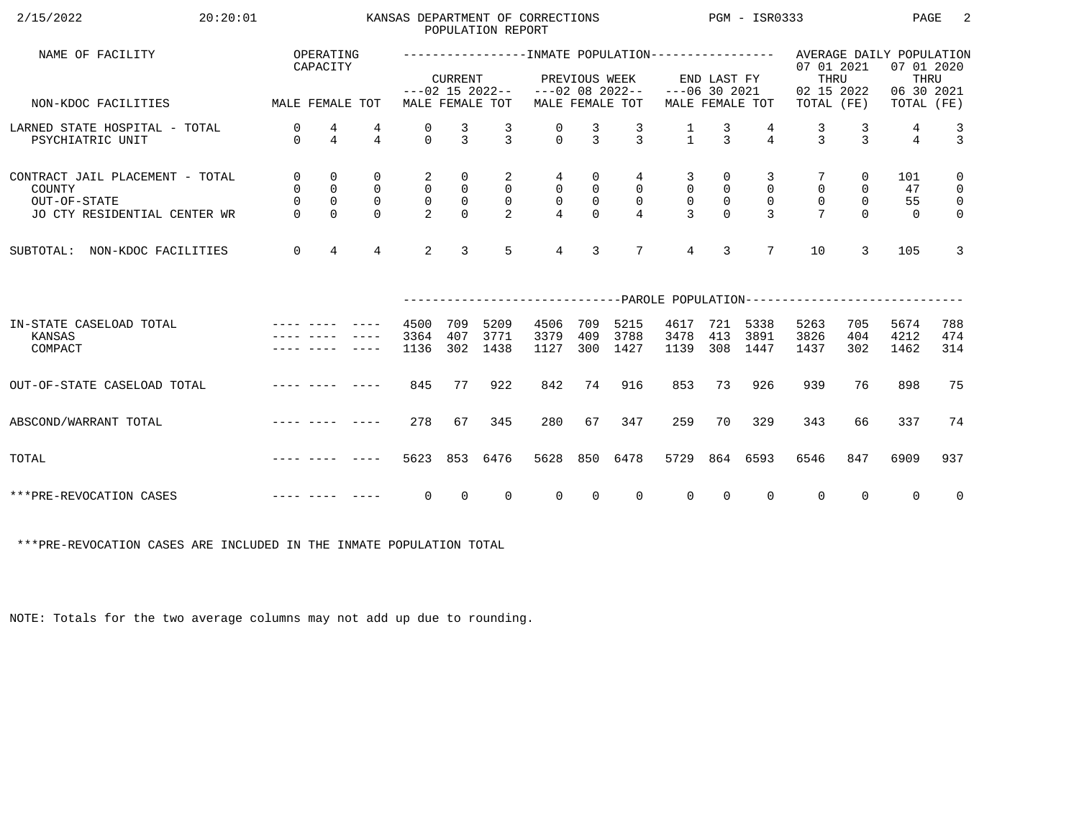| 2/15/2022<br>20:20:01                                                                     |                                                                 |                                                               |                                                           |                                                       |                                                                             | POPULATION REPORT                                            | KANSAS DEPARTMENT OF CORRECTIONS     |                                               |                                                                       |                                                   |                                                                 | $PGM - ISR0333$                                       |                                                                                                   |                                                 | PAGE                        | -2                                                                             |
|-------------------------------------------------------------------------------------------|-----------------------------------------------------------------|---------------------------------------------------------------|-----------------------------------------------------------|-------------------------------------------------------|-----------------------------------------------------------------------------|--------------------------------------------------------------|--------------------------------------|-----------------------------------------------|-----------------------------------------------------------------------|---------------------------------------------------|-----------------------------------------------------------------|-------------------------------------------------------|---------------------------------------------------------------------------------------------------|-------------------------------------------------|-----------------------------|--------------------------------------------------------------------------------|
| NAME OF FACILITY                                                                          |                                                                 | OPERATING<br>CAPACITY                                         |                                                           |                                                       | <b>CURRENT</b>                                                              |                                                              |                                      | PREVIOUS WEEK                                 |                                                                       |                                                   | END LAST FY                                                     |                                                       | -----------------INMATE POPULATION---------------- AVERAGE DAILY POPULATION<br>07 01 2021<br>THRU |                                                 | 07 01 2020<br>THRU          |                                                                                |
| MALE FEMALE TOT<br>NON-KDOC FACILITIES                                                    |                                                                 |                                                               |                                                           |                                                       |                                                                             | MALE FEMALE TOT                                              | $---02$ 15 2022-- $---02$ 08 2022--  |                                               | MALE FEMALE TOT                                                       | $---06$ 30 2021                                   |                                                                 | MALE FEMALE TOT                                       | 02 15 2022<br>TOTAL (FE)                                                                          |                                                 | 06 30 2021<br>TOTAL (FE)    |                                                                                |
| LARNED STATE HOSPITAL - TOTAL<br>PSYCHIATRIC UNIT                                         | 0<br>$\Omega$                                                   | $\frac{4}{4}$                                                 | 4<br>$\overline{4}$                                       | 0<br>$\Omega$                                         | $\frac{3}{3}$                                                               | $\frac{3}{3}$                                                | $\frac{0}{0}$                        | $\frac{3}{3}$                                 | $\frac{3}{3}$                                                         | $\frac{1}{1}$                                     | $\frac{3}{3}$                                                   | $\frac{4}{4}$                                         | $\frac{3}{3}$                                                                                     | $\frac{3}{3}$                                   | 4<br>$\overline{4}$         | $\begin{array}{c} 3 \\ 3 \end{array}$                                          |
| CONTRACT JAIL PLACEMENT - TOTAL<br>COUNTY<br>OUT-OF-STATE<br>JO CTY RESIDENTIAL CENTER WR | $\mathsf{O}$<br>$\mathsf{O}$<br>$\mathsf{O}\xspace$<br>$\Omega$ | $\mathbf 0$<br>$\mathsf 0$<br>$\mathsf{O}\xspace$<br>$\Omega$ | $\mathbf 0$<br>$\mathsf{O}$<br>$\overline{0}$<br>$\Omega$ | $\overline{a}$<br>0<br>$\mathsf{O}$<br>$\overline{2}$ | $\overline{0}$<br>$\begin{smallmatrix}0\\0\\0\end{smallmatrix}$<br>$\Omega$ | $\overline{a}$<br>$\overline{0}$<br>$\overline{\phantom{0}}$ | 4<br>$\overline{0}$<br>$\frac{0}{4}$ | 0<br>$\mathsf{O}$<br>$\mathsf{O}$<br>$\Omega$ | $4\overline{ }$<br>$\overline{0}$<br>$\overline{0}$<br>$\overline{4}$ | 3<br>$\mathsf{O}$<br>$\mathsf{O}$<br>$\mathbf{R}$ | $\overline{0}$<br>$\begin{smallmatrix}0\\0\\0\end{smallmatrix}$ | 3<br>$\overline{0}$<br>$\overline{0}$<br>$\mathbf{R}$ | $\mathsf{O}\xspace$<br>$\overline{0}$<br>$\overline{7}$                                           | $\overline{0}$<br>0<br>$\mathsf{O}$<br>$\Omega$ | 101<br>47<br>55<br>$\Omega$ | $\mathsf{O}$<br>$\overline{\mathbf{0}}$<br>$\overline{\mathbf{0}}$<br>$\Omega$ |
| SUBTOTAL: NON-KDOC FACILITIES                                                             | $\overline{0}$                                                  | $\overline{4}$                                                | $\overline{4}$                                            | 2                                                     | $\overline{3}$                                                              | $5^{\circ}$                                                  | $\overline{4}$                       | 3                                             | $7\overline{ }$                                                       | $\overline{4}$                                    | $\overline{3}$                                                  | $7\overline{ }$                                       | 10                                                                                                | 3                                               | 105                         | $\mathbf{3}$                                                                   |
|                                                                                           |                                                                 |                                                               |                                                           |                                                       |                                                                             |                                                              |                                      |                                               |                                                                       |                                                   |                                                                 |                                                       | ------------------------------PAROLE POPULATION--------------------------                         |                                                 |                             |                                                                                |
| IN-STATE CASELOAD TOTAL<br>KANSAS<br>COMPACT                                              |                                                                 |                                                               |                                                           | 4500<br>3364<br>1136                                  | 709<br>407<br>302                                                           | 5209<br>3771<br>1438                                         | 4506<br>3379<br>1127                 | 709<br>409<br>300                             | 5215<br>3788<br>1427                                                  | 4617<br>3478<br>1139                              | 413                                                             | 721 5338<br>3891<br>308 1447                          | 5263<br>3826<br>1437                                                                              | 705<br>404<br>302                               | 5674<br>4212<br>1462        | 788<br>474<br>314                                                              |
| OUT-OF-STATE CASELOAD TOTAL                                                               | and the company of the second service                           |                                                               |                                                           | 845                                                   | 77                                                                          | 922                                                          | 842                                  | 74                                            | 916                                                                   | 853                                               | 73                                                              | 926                                                   | 939                                                                                               | 76                                              | 898                         | 75                                                                             |
| ABSCOND/WARRANT TOTAL                                                                     |                                                                 |                                                               |                                                           | 278                                                   | 67                                                                          | 345                                                          | 280                                  | 67                                            | 347                                                                   | 259                                               | 70                                                              | 329                                                   | 343                                                                                               | 66                                              | 337                         | 74                                                                             |
| TOTAL                                                                                     |                                                                 |                                                               |                                                           | 5623                                                  |                                                                             | 853 6476                                                     | 5628                                 |                                               | 850 6478                                                              | 5729                                              |                                                                 | 864 6593                                              | 6546                                                                                              | 847                                             | 6909                        | 937                                                                            |
| ***PRE-REVOCATION CASES                                                                   |                                                                 |                                                               |                                                           | $\overline{0}$                                        | $\overline{0}$                                                              | $\overline{0}$                                               | $\overline{0}$                       | $\overline{0}$                                | $\Omega$                                                              | $\overline{0}$                                    | $\overline{0}$                                                  | $\mathbf{0}$                                          | $\overline{0}$                                                                                    | $\Omega$                                        | $\Omega$                    | $\overline{0}$                                                                 |

\*\*\*PRE-REVOCATION CASES ARE INCLUDED IN THE INMATE POPULATION TOTAL

NOTE: Totals for the two average columns may not add up due to rounding.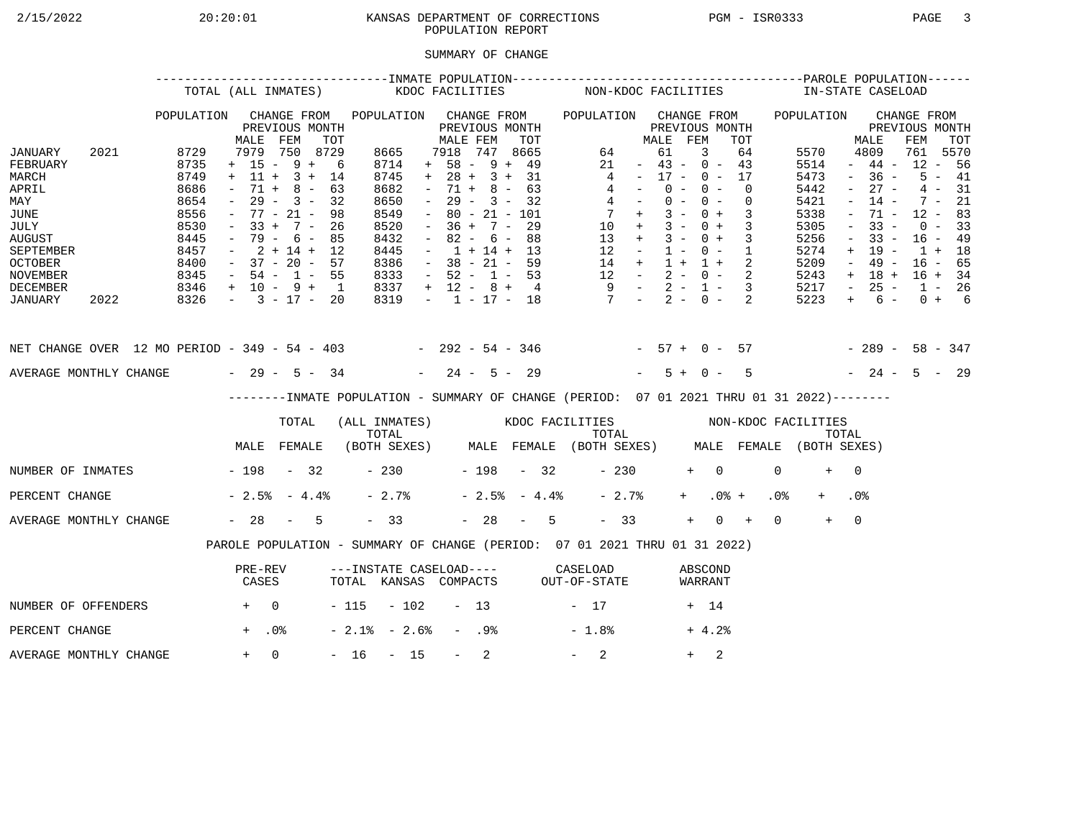# 2/15/2022 20:20:01 KANSAS DEPARTMENT OF CORRECTIONS PGM - ISR0333 PAGE 3 POPULATION REPORT

## SUMMARY OF CHANGE

|                                                                                                                                        |      |                                                                                      | TOTAL (ALL INMATES)                                                                                                                                         |                                                 |     |                                                                                             | KDOC FACILITIES     |                                                                                                                                                                          |                  |                                                                    |     |                | NON-KDOC FACILITIES                                                                                                                            |                                                                                                 |                                  |                |            |                          |                            |                 | IN-STATE CASELOAD                                                                    |                                                                                                           |                                                                                                       |                                                                                       |                                              |  |
|----------------------------------------------------------------------------------------------------------------------------------------|------|--------------------------------------------------------------------------------------|-------------------------------------------------------------------------------------------------------------------------------------------------------------|-------------------------------------------------|-----|---------------------------------------------------------------------------------------------|---------------------|--------------------------------------------------------------------------------------------------------------------------------------------------------------------------|------------------|--------------------------------------------------------------------|-----|----------------|------------------------------------------------------------------------------------------------------------------------------------------------|-------------------------------------------------------------------------------------------------|----------------------------------|----------------|------------|--------------------------|----------------------------|-----------------|--------------------------------------------------------------------------------------|-----------------------------------------------------------------------------------------------------------|-------------------------------------------------------------------------------------------------------|---------------------------------------------------------------------------------------|----------------------------------------------|--|
|                                                                                                                                        |      | POPULATION                                                                           | MALE                                                                                                                                                        | CHANGE FROM<br>PREVIOUS MONTH<br>FEM            | TOT | POPULATION CHANGE FROM                                                                      |                     | MALE FEM                                                                                                                                                                 |                  | PREVIOUS MONTH                                                     | TOT |                | POPULATION CHANGE FROM                                                                                                                         |                                                                                                 | MALE FEM                         | PREVIOUS MONTH |            |                          | TOT                        |                 | POPULATION                                                                           |                                                                                                           | MALE                                                                                                  | CHANGE FROM<br>PREVIOUS MONTH<br>FEM                                                  | TOT                                          |  |
| JANUARY<br>FEBRUARY<br>MARCH<br>APRIL<br>MAY<br>JUNE<br>JULY<br><b>AUGUST</b><br>SEPTEMBER<br><b>OCTOBER</b><br>NOVEMBER               | 2021 | 8729<br>8735<br>8749<br>8686<br>8654<br>8556<br>8530<br>8445<br>8457<br>8400<br>8345 | $+ 15 - 9 + 6$<br>$+ 11 + 3 + 14$<br>$\sim$<br>$ \,$<br>$-77 - 21 -$<br>$-33 + 7 - 26$<br>$-79 - 6 - 85$<br>$-2+14+12$<br>$-37 - 20 - 57$<br>$-54 - 1 - 55$ | 7979 750 8729<br>$71 + 8 - 63$<br>$29 - 3 - 32$ | 98  | 8665<br>8714<br>8745<br>8682<br>8650<br>8549<br>8520<br>8432<br>8445<br>8386<br>8333        |                     | 7918 747 8665<br>$+ 58 - 9 + 49$<br>$+ 28 + 3 + 31$<br>$\sim$<br>$\sim$ $-$<br>$\sim$<br>$-36 + 7 - 29$<br>$\sim$<br>$-1 + 14 + 13$<br>$-38 - 21 - 59$<br>$-52 - 1 - 53$ |                  | $71 + 8 - 63$<br>$29 - 3 - 32$<br>$80 - 21 - 101$<br>$82 - 6 - 88$ |     |                | $\overline{4}$<br>$\begin{array}{ccccccccc} 14 & + & 1 & + & 1 & + & 2 \\ 12 & - & 2 & - & 0 & - & 2 \\ 9 & - & 2 & - & 1 & - & 3 \end{array}$ | 64<br>21<br>$4 -$<br>$4 -$<br>$7 +$<br>$10 + 3 - 0 + 3$<br>$13 + 3 - 0 + 3$<br>$12 - 1 - 0 - 1$ | $-43 - 0 - 43$<br>$-17 - 0 - 17$ | 61<br>$0 -$    | 3<br>$0 -$ | $0 - 0 -$<br>$3 - 0 + 3$ | 64<br>$\Omega$<br>$\Omega$ |                 | 5570<br>5514<br>5473<br>5442<br>5421<br>5338<br>5305<br>5256<br>5274<br>5209<br>5243 | $\sim$<br>$\sim$<br>$\overline{\phantom{a}}$<br>$\equiv$<br>$\overline{\phantom{a}}$<br>$+$<br>$\sim$ $-$ | 4809<br>$-44-$<br>$-36 -$<br>$27 -$<br>$14 -$<br>71 -<br>$33 -$<br>$33 -$<br>19 -<br>49 -<br>$+ 18 +$ | 761 5570<br>$12 - 56$<br>$12 - 83$<br>$16 - 49$<br>$1 + 18$<br>$16 - 65$<br>$16 + 34$ | $5 - 41$<br>$4 - 31$<br>$7 - 21$<br>$0 - 33$ |  |
| DECEMBER<br>JANUARY                                                                                                                    | 2022 | $8346 + 10 - 9 + 1$<br>$8326 - 3 - 17 - 20$                                          |                                                                                                                                                             |                                                 |     | 8337<br>8319                                                                                |                     | $+ 12 - 8 + 4$                                                                                                                                                           |                  |                                                                    |     |                | $-1$ $-17$ $-18$ $7$ $-2$ $-0$ $-2$                                                                                                            |                                                                                                 |                                  |                |            |                          |                            |                 | 5217<br>5223                                                                         | $\sim$ $-$<br>$+$                                                                                         | $25 -$<br>$6 -$                                                                                       | $1 - 26$                                                                              | $0 + 6$                                      |  |
| NET CHANGE OVER 12 MO PERIOD - 349 - 54 - 403 - 292 - 54 - 346 - 57 + 0 - 57 - 289 - 58 - 347<br>AVERAGE MONTHLY CHANGE $-29 - 5 - 34$ |      |                                                                                      |                                                                                                                                                             |                                                 |     |                                                                                             |                     | $-24 - 5 - 29$                                                                                                                                                           |                  |                                                                    |     |                |                                                                                                                                                |                                                                                                 |                                  | $5 + 0 -$      |            |                          | $5^{\circ}$                |                 | $-24 - 5 - 29$                                                                       |                                                                                                           |                                                                                                       |                                                                                       |                                              |  |
|                                                                                                                                        |      |                                                                                      |                                                                                                                                                             |                                                 |     | --------INMATE POPULATION - SUMMARY OF CHANGE (PERIOD: 07 01 2021 THRU 01 31 2022)--------  |                     |                                                                                                                                                                          |                  |                                                                    |     |                |                                                                                                                                                |                                                                                                 |                                  |                |            |                          |                            |                 |                                                                                      |                                                                                                           |                                                                                                       |                                                                                       |                                              |  |
|                                                                                                                                        |      |                                                                                      |                                                                                                                                                             | TOTAL                                           |     | (ALL INMATES) WOOC FACILITIES NON-KDOC FACILITIES                                           |                     |                                                                                                                                                                          |                  |                                                                    |     |                |                                                                                                                                                |                                                                                                 |                                  |                |            |                          |                            |                 |                                                                                      |                                                                                                           |                                                                                                       |                                                                                       |                                              |  |
|                                                                                                                                        |      |                                                                                      | MALE FEMALE                                                                                                                                                 |                                                 |     | TOTAL TOTAL TOTAL TOTAL TOTAL TOTAL TOTAL TOTAL TOTAL (BOTH SEXES) MALE FEMALE (BOTH SEXES) |                     |                                                                                                                                                                          |                  |                                                                    |     |                |                                                                                                                                                |                                                                                                 |                                  |                |            |                          |                            |                 |                                                                                      |                                                                                                           |                                                                                                       |                                                                                       |                                              |  |
| NUMBER OF INMATES - 198 - 32                                                                                                           |      |                                                                                      |                                                                                                                                                             |                                                 |     |                                                                                             | $-230$ $-198$ $-32$ |                                                                                                                                                                          |                  |                                                                    |     |                |                                                                                                                                                | $-230$                                                                                          |                                  |                | $+ 0$      |                          |                            | $\Omega$        | $+$                                                                                  | $\bigcap$                                                                                                 |                                                                                                       |                                                                                       |                                              |  |
| PERCENT CHANGE                                                                                                                         |      |                                                                                      | $-2.5$ $-4.4$ $-$                                                                                                                                           |                                                 |     | $-2.7%$                                                                                     |                     |                                                                                                                                                                          |                  |                                                                    |     | $-2.5% - 4.4%$ |                                                                                                                                                | $-2.7%$                                                                                         |                                  |                | $+$ $-$    | $.0%$ +                  |                            | .0 <sub>8</sub> |                                                                                      | .0 <sub>8</sub>                                                                                           |                                                                                                       |                                                                                       |                                              |  |
| AVERAGE MONTHLY CHANGE                                                                                                                 |      |                                                                                      | $-28 - 5$                                                                                                                                                   |                                                 |     | $-33$                                                                                       |                     |                                                                                                                                                                          |                  |                                                                    |     | $-28 - 5$      |                                                                                                                                                | $-33$                                                                                           |                                  |                | $+$        | $0 +$                    |                            | $\Omega$        | $+$                                                                                  | $\overline{0}$                                                                                            |                                                                                                       |                                                                                       |                                              |  |
|                                                                                                                                        |      |                                                                                      | PAROLE POPULATION - SUMMARY OF CHANGE (PERIOD: 07 01 2021 THRU 01 31 2022)                                                                                  |                                                 |     |                                                                                             |                     |                                                                                                                                                                          |                  |                                                                    |     |                |                                                                                                                                                |                                                                                                 |                                  |                |            |                          |                            |                 |                                                                                      |                                                                                                           |                                                                                                       |                                                                                       |                                              |  |
|                                                                                                                                        |      |                                                                                      | PRE-REV<br>CASES                                                                                                                                            |                                                 |     | ---INSTATE CASELOAD---- CASELOAD<br>TOTAL KANSAS COMPACTS OUT-OF-STATE                      |                     |                                                                                                                                                                          |                  |                                                                    |     |                |                                                                                                                                                |                                                                                                 |                                  |                |            | ABSCOND<br>WARRANT       |                            |                 |                                                                                      |                                                                                                           |                                                                                                       |                                                                                       |                                              |  |
| NUMBER OF OFFENDERS                                                                                                                    |      | $+$ 0                                                                                |                                                                                                                                                             |                                                 |     | $-115 - 102 - 13$                                                                           |                     |                                                                                                                                                                          |                  |                                                                    |     |                | $-17$                                                                                                                                          |                                                                                                 |                                  |                | + 14       |                          |                            |                 |                                                                                      |                                                                                                           |                                                                                                       |                                                                                       |                                              |  |
| PERCENT CHANGE                                                                                                                         |      |                                                                                      | $+$ .0%                                                                                                                                                     |                                                 |     | $-2.1$ % $-2.6$ %                                                                           |                     |                                                                                                                                                                          | - .98            |                                                                    |     |                | $-1.8%$                                                                                                                                        |                                                                                                 |                                  |                |            | $+4.2%$                  |                            |                 |                                                                                      |                                                                                                           |                                                                                                       |                                                                                       |                                              |  |
| AVERAGE MONTHLY CHANGE                                                                                                                 |      |                                                                                      | $+ 0$                                                                                                                                                       |                                                 |     | $-16 - 15$                                                                                  |                     |                                                                                                                                                                          | $\sim$ 100 $\mu$ | 2                                                                  |     |                | $-2$                                                                                                                                           |                                                                                                 |                                  |                | $+$        | 2                        |                            |                 |                                                                                      |                                                                                                           |                                                                                                       |                                                                                       |                                              |  |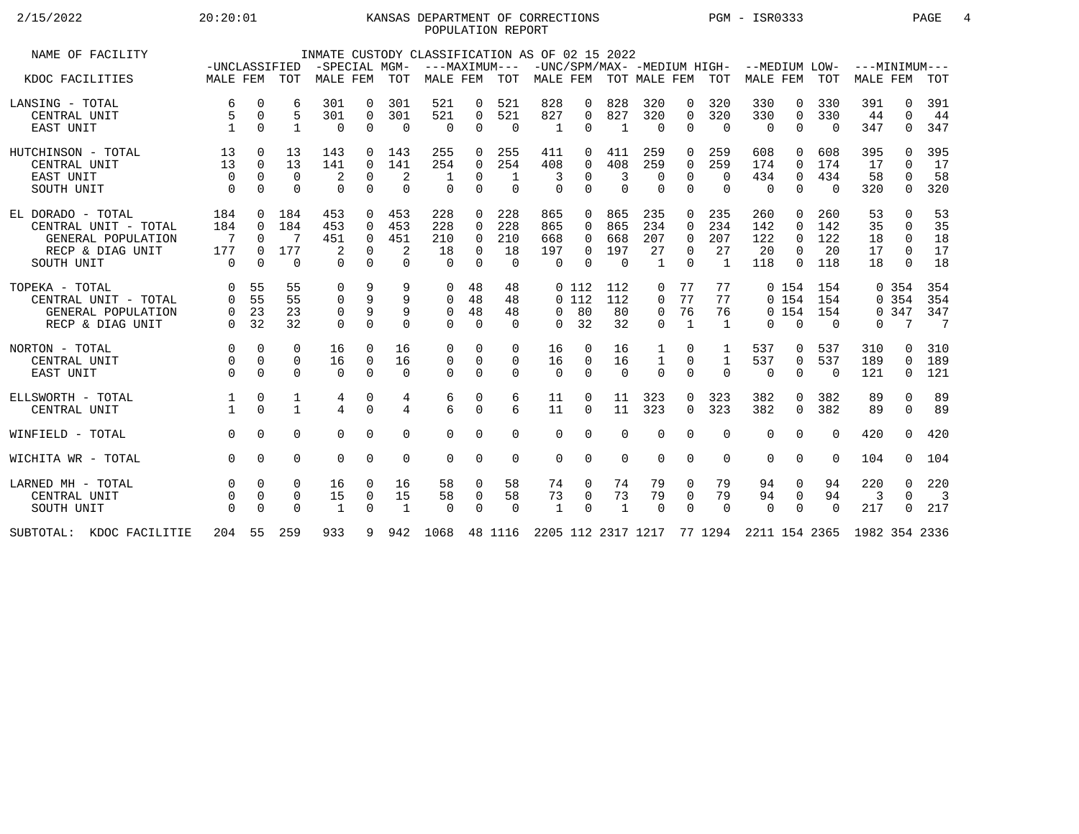## 2/15/2022 20:20:01 KANSAS DEPARTMENT OF CORRECTIONS PGM - ISR0333 PAGE 4 POPULATION REPORT

| NAME OF FACILITY                                                                                  | -UNCLASSIFIED                                   |                                                          |                                    | -SPECIAL MGM-                      |                                                          |                                    | INMATE CUSTODY CLASSIFICATION AS OF 02 15 2022 |                                                          | ---MAXIMUM---                       |                                         |                                  |                                      |                                           |                                                        |                                           | -UNC/SPM/MAX- -MEDIUM HIGH- --MEDIUM LOW- ---MINIMUM--- |                                                          |                                |                             |                                                        |                                        |
|---------------------------------------------------------------------------------------------------|-------------------------------------------------|----------------------------------------------------------|------------------------------------|------------------------------------|----------------------------------------------------------|------------------------------------|------------------------------------------------|----------------------------------------------------------|-------------------------------------|-----------------------------------------|----------------------------------|--------------------------------------|-------------------------------------------|--------------------------------------------------------|-------------------------------------------|---------------------------------------------------------|----------------------------------------------------------|--------------------------------|-----------------------------|--------------------------------------------------------|----------------------------------------|
| KDOC FACILITIES                                                                                   | MALE FEM TOT                                    |                                                          |                                    | MALE FEM                           |                                                          | TOT                                | MALE FEM                                       |                                                          | TOT                                 |                                         |                                  |                                      |                                           |                                                        |                                           | MALE FEM TOT MALE FEM TOT MALE FEM TOT                  |                                                          |                                | MALE FEM                    |                                                        | TOT                                    |
| LANSING - TOTAL<br>CENTRAL UNIT<br>EAST UNIT                                                      | 6<br>$\mathbf{1}$                               | 0<br>$\mathbf 0$<br>$\Omega$                             | 6<br>5<br>$\mathbf{1}$             | 301<br>301<br>$\Omega$             | $\Omega$<br>$\mathbf 0$<br>$\Omega$                      | 301<br>301<br>$\Omega$             | 521<br>521<br>$\Omega$                         | 0<br>0<br>$\Omega$                                       | 521<br>521<br>$\Omega$              | 828<br>827<br>$\mathbf{1}$              | 0<br>$\mathbf 0$<br>0            | 828<br>827<br>$\overline{1}$         | 320<br>320<br>$\Omega$                    | $\Omega$<br>$\mathbf 0$<br>$\Omega$                    | 320<br>320<br>$\Omega$                    | 330<br>330<br>$\Omega$                                  | 0<br>$\mathbf 0$<br>$\Omega$                             | 330<br>330<br>$\Omega$         | 391<br>44<br>347            | 0<br>$\Omega$<br>$\Omega$                              | 391<br>44<br>347                       |
| HUTCHINSON - TOTAL<br>CENTRAL UNIT<br>EAST UNIT<br>SOUTH UNIT                                     | 13<br>13<br>$\Omega$<br>$\Omega$                | $\Omega$<br>$\Omega$<br>$\Omega$<br>$\Omega$             | 13<br>13<br>$\Omega$<br>$\Omega$   | 143<br>141<br>2<br>$\mathbf 0$     | $\Omega$<br>$\Omega$<br>$\Omega$                         | 143<br>141<br>2<br>$\Omega$        | 255<br>254<br>$\Omega$                         | $\Omega$<br>$\Omega$<br>$\Omega$                         | 255<br>254<br>-1<br>$\Omega$        | 411<br>408<br>3<br>$\Omega$             | $\Omega$<br>0<br>$\Omega$        | 411<br>408<br>3<br>$\Omega$          | 259<br>259<br>$\Omega$<br>$\Omega$        | $\Omega$<br>$\Omega$<br>$\Omega$<br>$\Omega$           | 259<br>259<br>$\Omega$<br>$\Omega$        | 608<br>174<br>434<br>0                                  | $\Omega$<br>$\Omega$<br>$\mathbf 0$<br>$\Omega$          | 608<br>174<br>434<br>$\Omega$  | 395<br>17<br>58<br>320      | 0<br>$\Omega$<br>$\Omega$<br>$\Omega$                  | 395<br>17<br>58<br>320                 |
| EL DORADO - TOTAL<br>CENTRAL UNIT - TOTAL<br>GENERAL POPULATION<br>RECP & DIAG UNIT<br>SOUTH UNIT | 184<br>184<br>$\overline{7}$<br>177<br>$\Omega$ | $\Omega$<br>$\Omega$<br>$\Omega$<br>$\Omega$<br>$\Omega$ | 184<br>184<br>7<br>177<br>$\Omega$ | 453<br>453<br>451<br>2<br>$\Omega$ | $\Omega$<br>$\Omega$<br>$\Omega$<br>$\Omega$<br>$\Omega$ | 453<br>453<br>451<br>2<br>$\Omega$ | 228<br>228<br>210<br>18<br>$\cap$              | $\Omega$<br>$\Omega$<br>$\Omega$<br>$\Omega$<br>$\Omega$ | 228<br>228<br>210<br>18<br>$\Omega$ | 865<br>865<br>668<br>197<br>$\Omega$    | 0<br>$\Omega$<br>0<br>0<br>0     | 865<br>865<br>668<br>197<br>$\Omega$ | 235<br>234<br>207<br>27<br>$\overline{1}$ | $\Omega$<br>$\Omega$<br>$\Omega$<br>$\Omega$<br>$\cap$ | 235<br>234<br>207<br>27<br>$\overline{1}$ | 260<br>142<br>122<br>20<br>118                          | $\Omega$<br>$\Omega$<br>$\Omega$<br>$\Omega$<br>$\Omega$ | 260<br>142<br>122<br>20<br>118 | 53<br>35<br>18<br>17<br>18  | $\Omega$<br>$\Omega$<br>$\Omega$<br>$\Omega$<br>$\cap$ | 53<br>35<br>18<br>17<br>18             |
| TOPEKA - TOTAL<br>CENTRAL UNIT - TOTAL<br>GENERAL POPULATION<br>RECP & DIAG UNIT                  | $\Omega$<br>$\Omega$<br>$\Omega$<br>$\Omega$    | 55<br>55<br>23<br>32                                     | 55<br>55<br>23<br>32               | 0<br>0<br>0<br>$\Omega$            | 9<br>9<br>9<br>$\Omega$                                  | 9<br>9<br>9<br>$\Omega$            | 0<br>$\mathbf 0$<br>$\Omega$<br>$\Omega$       | 48<br>48<br>48<br>$\Omega$                               | 48<br>48<br>48<br>$\Omega$          | $\Omega$<br>$\Omega$                    | 0112<br>0112<br>80<br>32         | 112<br>112<br>80<br>32               | 0<br>0<br>$\mathbf 0$<br>$\Omega$         | 77<br>77<br>76<br>$\mathbf{1}$                         | 77<br>77<br>76<br>1                       | $\Omega$                                                | 0, 154<br>0 154<br>0, 154<br>$\Omega$                    | 154<br>154<br>154<br>$\Omega$  | $\Omega$                    | 0.354<br>0.354<br>0.347<br>7                           | 354<br>354<br>347<br>$\overline{7}$    |
| NORTON - TOTAL<br>CENTRAL UNIT<br>EAST UNIT                                                       | $\Omega$<br>$\Omega$<br>$\Omega$                | $\Omega$<br>$\Omega$<br>$\Omega$                         | $\Omega$<br>$\Omega$<br>$\Omega$   | 16<br>16<br>$\Omega$               | $\Omega$<br>0<br>$\Omega$                                | 16<br>16<br>$\Omega$               | $\Omega$<br>0<br>$\Omega$                      | $\Omega$<br>$\mathbf 0$<br>$\Omega$                      | $\Omega$<br>0<br>$\Omega$           | 16<br>16<br>$\Omega$                    | $\Omega$<br>$\Omega$<br>$\Omega$ | 16<br>16<br>$\Omega$                 | $\mathbf{1}$<br>$\Omega$                  | $\Omega$<br>$\Omega$<br>$\Omega$                       | 1<br>$\mathbf{1}$<br>$\Omega$             | 537<br>537<br>$\Omega$                                  | 0<br>0<br>$\overline{0}$                                 | 537<br>537<br>$\Omega$         | 310<br>189<br>121           | 0<br>$\Omega$<br>$\Omega$                              | 310<br>189<br>121                      |
| ELLSWORTH - TOTAL<br>CENTRAL UNIT                                                                 |                                                 | 0<br>$\Omega$                                            | 1<br>$\mathbf{1}$                  | 4<br>$\overline{4}$                | 0<br>$\Omega$                                            | 4<br>$\overline{4}$                | 6<br>$6\overline{6}$                           | 0<br>$\Omega$                                            | 6<br>б.                             | 11<br>11                                | 0<br>$\Omega$                    | 11<br>11                             | 323<br>323                                | 0<br>$\Omega$                                          | 323<br>323                                | 382<br>382                                              | 0<br>$\Omega$                                            | 382<br>382                     | 89<br>89                    | $\mathbf 0$<br>$\Omega$                                | 89<br>89                               |
| WINFIELD - TOTAL                                                                                  | $\Omega$                                        | $\Omega$                                                 | $\Omega$                           | $\Omega$                           | $\Omega$                                                 | $\Omega$                           | $\Omega$                                       | $\Omega$                                                 | $\Omega$                            | $\Omega$                                | 0                                | $\Omega$                             | $\Omega$                                  | $\Omega$                                               | $\Omega$                                  | $\Omega$                                                | $\Omega$                                                 | $\Omega$                       | 420                         | $\Omega$                                               | 420                                    |
| WICHITA WR - TOTAL                                                                                | $\Omega$                                        | $\Omega$                                                 | $\Omega$                           | $\Omega$                           | $\Omega$                                                 | $\Omega$                           | $\Omega$                                       | $\mathbf 0$                                              | 0                                   | $\mathbf 0$                             | 0                                | $\Omega$                             | $\Omega$                                  | $\Omega$                                               | $\Omega$                                  | $\Omega$                                                | $\mathbf 0$                                              | $\Omega$                       | 104                         | $\Omega$                                               | 104                                    |
| LARNED MH - TOTAL<br>CENTRAL UNIT<br>SOUTH UNIT                                                   |                                                 | $\Omega$<br>$\mathbf 0$<br>$\Omega$                      | 0<br>0<br>$\Omega$                 | 16<br>15<br>$\mathbf{1}$           | $\Omega$<br>0<br>$\Omega$                                | 16<br>15<br>$\mathbf{1}$           | 58<br>58<br>$\Omega$                           | 0<br>0<br>$\Omega$                                       | 58<br>58<br>$\Omega$                | 74<br>73<br>$\mathbf{1}$                | 0<br>0<br>$\Omega$               | 74<br>73<br>$\mathbf{1}$             | 79<br>79<br>$\Omega$                      | 0<br>$\mathbf 0$<br>$\Omega$                           | 79<br>79<br>$\Omega$                      | 94<br>94<br>$\Omega$                                    | $\mathbf 0$<br>0<br>$\mathbf 0$                          | 94<br>94<br>$\Omega$           | 220<br>3<br>217             | $\Omega$<br>$\Omega$<br>$\Omega$                       | 220<br>$\overline{\phantom{a}}$<br>217 |
| SUBTOTAL: KDOC FACILITIE                                                                          | 204 55                                          |                                                          | 259                                | 933                                | 9                                                        | 942                                |                                                |                                                          |                                     | 1068 48 1116 2205 112 2317 1217 77 1294 |                                  |                                      |                                           |                                                        |                                           |                                                         |                                                          |                                | 2211 154 2365 1982 354 2336 |                                                        |                                        |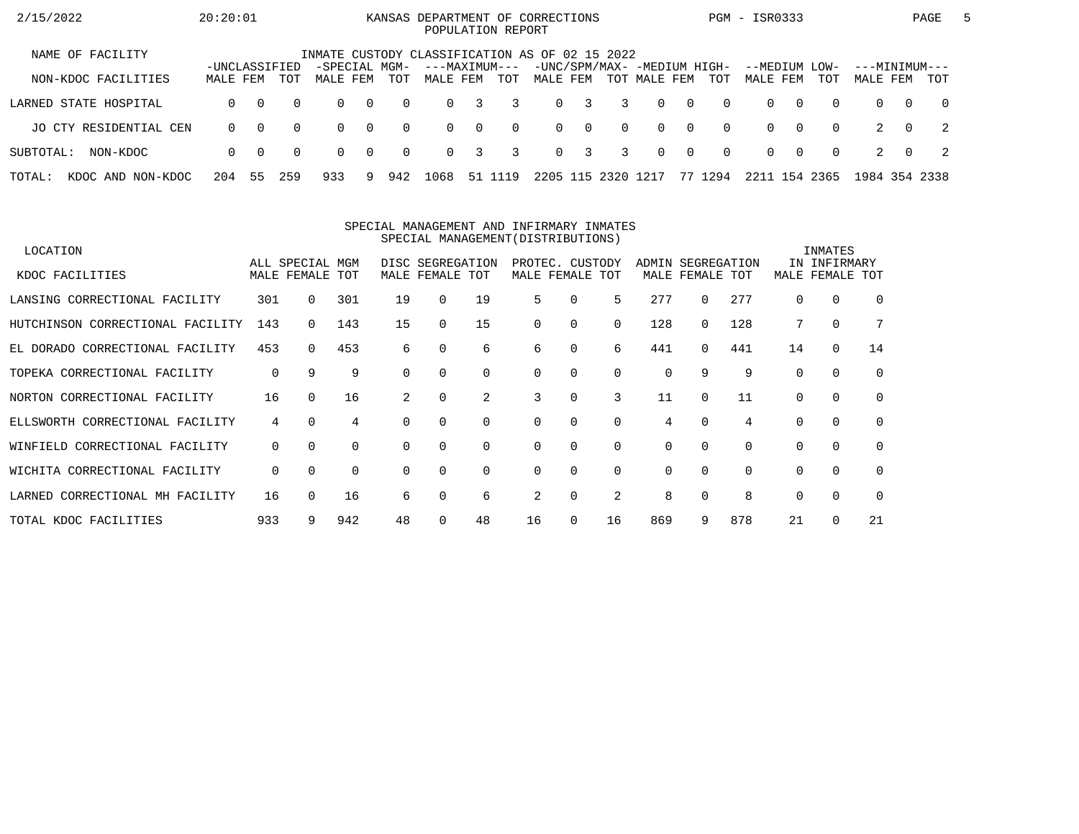| 2/15/2022                   | 20:20:01                  |          |          |                                                |                |          | KANSAS DEPARTMENT OF CORRECTIONS<br>POPULATION REPORT |          |          |          |                         |               |                                             |                |          | PGM - ISR0333        |          |             |                           |          | PAGE           | 5 |
|-----------------------------|---------------------------|----------|----------|------------------------------------------------|----------------|----------|-------------------------------------------------------|----------|----------|----------|-------------------------|---------------|---------------------------------------------|----------------|----------|----------------------|----------|-------------|---------------------------|----------|----------------|---|
| NAME OF FACILITY            |                           |          |          | INMATE CUSTODY CLASSIFICATION AS OF 02 15 2022 |                |          |                                                       |          |          |          |                         |               |                                             |                |          |                      |          |             |                           |          |                |   |
| NON-KDOC FACILITIES         | -UNCLASSIFIED<br>MALE FEM |          | TOT      | -SPECIAL MGM-<br>MALE FEM                      |                | TOT      | ---MAXIMUM---<br>MALE FEM                             |          | TOT      | MALE FEM |                         |               | -UNC/SPM/MAX- -MEDIUM HIGH-<br>TOT MALE FEM |                | TOT      | --MEDIUM<br>MALE FEM |          | LOW-<br>TOT | ---MINIMUM---<br>MALE FEM |          | TOT            |   |
| LARNED STATE HOSPITAL       | $\Omega$                  | $\Omega$ | $\Omega$ | $\Omega$                                       | $\overline{0}$ | $\Omega$ | $\Omega$                                              | 3        | 3        | $\Omega$ | $\overline{\mathbf{3}}$ | 3             | $\Omega$                                    | $\overline{0}$ | $\Omega$ | $\Omega$             | $\Omega$ | $\Omega$    | $\Omega$                  | $\Omega$ | $\overline{0}$ |   |
| JO CTY RESIDENTIAL CEN      | $\Omega$                  | $\Omega$ | $\Omega$ | $\Omega$                                       | $\overline{0}$ | $\Omega$ | $\Omega$                                              | $\Omega$ | $\Omega$ |          | $0 \quad 0$             | $\Omega$      | $\Omega$                                    | $\overline{0}$ | $\Omega$ | $\Omega$             | $\Omega$ | $\Omega$    |                           | $\Omega$ | $\overline{2}$ |   |
| SUBTOTAL:<br>NON-KDOC       | $\Omega$                  | - 0      | $\Omega$ | $\Omega$                                       | $\overline{0}$ | $\Omega$ | $\Omega$                                              | 3        | 3        |          | $0 \quad 3$             | 3             | $\Omega$                                    | $\overline{0}$ | $\Omega$ | $\Omega$             | $\Omega$ | $\Omega$    |                           | $\Omega$ | - 2            |   |
| TOTAL:<br>KDOC AND NON-KDOC | 204                       | 55       | 259      | 933                                            | 9.             | 942      | 1068                                                  | 51       | 19       |          |                         | 2205 115 2320 | 1217                                        |                | 77 1294  | 2211                 | 154      | 2365        | 1984 354 2338             |          |                |   |

#### SPECIAL MANAGEMENT AND INFIRMARY INMATESSPECIAL MANAGEMENT(DISTRIBUTIONS)

| LOCATION                         |     |                 |          |          |                  |          |    |                 |          |       |             |          |          | INMATES      |          |
|----------------------------------|-----|-----------------|----------|----------|------------------|----------|----|-----------------|----------|-------|-------------|----------|----------|--------------|----------|
|                                  |     | ALL SPECIAL MGM |          |          | DISC SEGREGATION |          |    | PROTEC. CUSTODY |          | ADMIN | SEGREGATION |          |          | IN INFIRMARY |          |
| KDOC FACILITIES                  |     | MALE FEMALE TOT |          |          | MALE FEMALE TOT  |          |    | MALE FEMALE TOT |          |       | MALE FEMALE | TOT      | MALE     | FEMALE       | TOT      |
| LANSING CORRECTIONAL FACILITY    | 301 | $\Omega$        | 301      | 19       | $\Omega$         | 19       | 5  | 0               | 5        | 277   | 0           | 277      | $\Omega$ | 0            | $\Omega$ |
| HUTCHINSON CORRECTIONAL FACILITY | 143 | 0               | 143      | 15       | $\Omega$         | 15       | 0  | $\Omega$        | 0        | 128   | $\Omega$    | 128      |          | $\mathbf 0$  |          |
| EL DORADO CORRECTIONAL FACILITY  | 453 | 0               | 453      | 6        | $\Omega$         | 6        | 6  | 0               | 6        | 441   | $\Omega$    | 441      | 14       | 0            | 14       |
| TOPEKA CORRECTIONAL FACILITY     | 0   | 9               | 9        | $\Omega$ |                  | 0        | 0  | $\Omega$        | 0        | 0     | 9           | 9        | $\Omega$ | $\Omega$     | 0        |
| NORTON CORRECTIONAL FACILITY     | 16  | $\Omega$        | 16       |          | $\Omega$         | 2        | 3  | $\Omega$        | 3        | 11    | $\Omega$    | 11       | $\Omega$ | 0            | $\Omega$ |
| ELLSWORTH CORRECTIONAL FACILITY  | 4   | $\Omega$        | 4        |          |                  | $\Omega$ | 0  | $\Omega$        | $\Omega$ | 4     | 0           | 4        |          | $\mathbf 0$  | $\Omega$ |
| WINFIELD CORRECTIONAL FACILITY   | 0   | $\Omega$        | $\Omega$ | $\Omega$ | $\Omega$         | 0        | 0  | 0               | 0        | 0     | $\Omega$    | $\Omega$ | $\Omega$ | 0            | $\Omega$ |
| WICHITA CORRECTIONAL FACILITY    | 0   | $\Omega$        | $\Omega$ | $\Omega$ | 0                | $\Omega$ | 0  | $\Omega$        | $\Omega$ | 0     | $\Omega$    | $\Omega$ | $\Omega$ | $\Omega$     | $\Omega$ |
| LARNED CORRECTIONAL MH FACILITY  | 16  | 0               | 16       | 6        |                  | 6        | 2  | $\Omega$        | 2        | 8     |             | 8        |          | $\Omega$     | $\Omega$ |
| TOTAL KDOC FACILITIES            | 933 |                 | 942      | 48       |                  | 48       | 16 | 0               | 16       | 869   | 9           | 878      | 21       | $\Omega$     | 21       |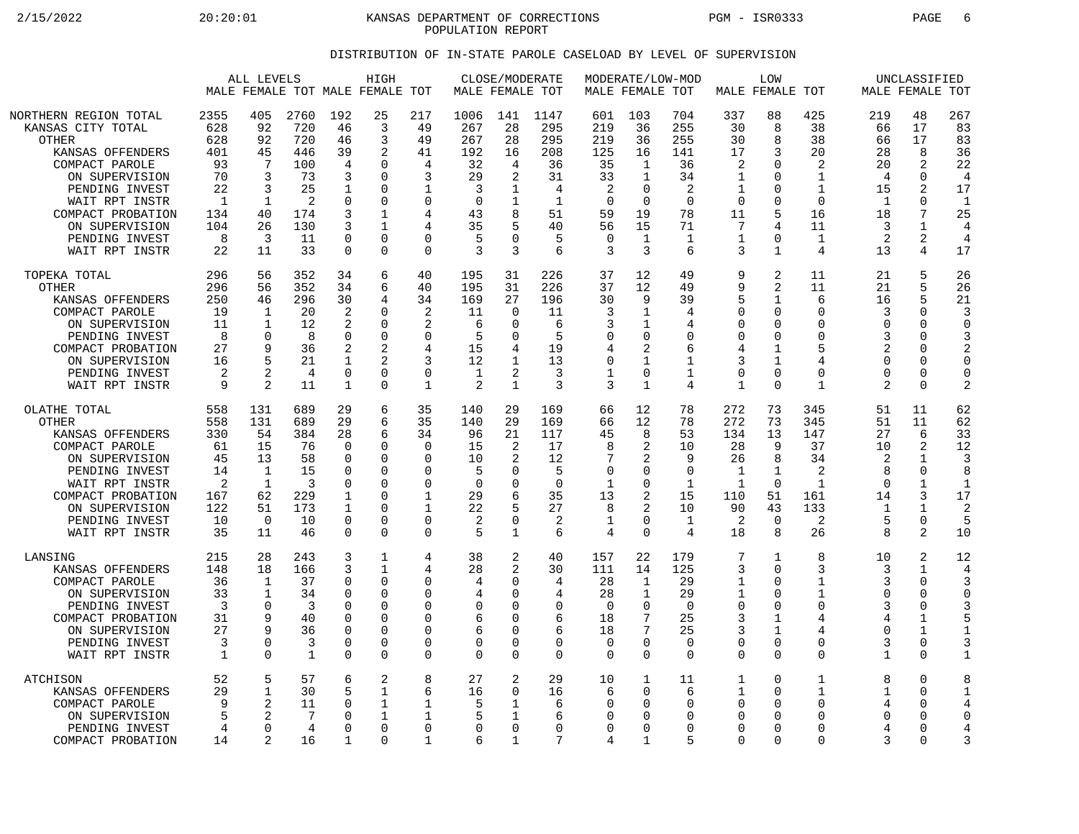2/15/2022 20:20:01 KANSAS DEPARTMENT OF CORRECTIONS PGM - ISR0333 PAGE 6 POPULATION REPORT

## DISTRIBUTION OF IN-STATE PAROLE CASELOAD BY LEVEL OF SUPERVISION

|                                                                                                                                                                                                                                   | ALL LEVELS<br>MALE FEMALE TOT MALE FEMALE TOT                                        |                                                                                               |                                                                                          | HIGH                                                                                         |                                                                                                      |                                                                                              | CLOSE/MODERATE<br>MALE FEMALE TOT                                               |                                                                              |                                                                                  | MALE FEMALE TOT                                                                             | MODERATE/LOW-MOD                                                                            |                                                                                       | LOW<br>MALE FEMALE TOT                                                     |                                                                                                             |                                                                                          | UNCLASSIFIED<br>MALE FEMALE TOT                                                     |                                                                                            |                                                                                                        |
|-----------------------------------------------------------------------------------------------------------------------------------------------------------------------------------------------------------------------------------|--------------------------------------------------------------------------------------|-----------------------------------------------------------------------------------------------|------------------------------------------------------------------------------------------|----------------------------------------------------------------------------------------------|------------------------------------------------------------------------------------------------------|----------------------------------------------------------------------------------------------|---------------------------------------------------------------------------------|------------------------------------------------------------------------------|----------------------------------------------------------------------------------|---------------------------------------------------------------------------------------------|---------------------------------------------------------------------------------------------|---------------------------------------------------------------------------------------|----------------------------------------------------------------------------|-------------------------------------------------------------------------------------------------------------|------------------------------------------------------------------------------------------|-------------------------------------------------------------------------------------|--------------------------------------------------------------------------------------------|--------------------------------------------------------------------------------------------------------|
| NORTHERN REGION TOTAL<br>KANSAS CITY TOTAL<br><b>OTHER</b><br>KANSAS OFFENDERS<br>COMPACT PAROLE<br>ON SUPERVISION<br>PENDING INVEST<br>WAIT RPT INSTR<br>COMPACT PROBATION<br>ON SUPERVISION<br>PENDING INVEST<br>WAIT RPT INSTR | 2355<br>628<br>628<br>401<br>93<br>70<br>22<br>$\mathbf{1}$<br>134<br>104<br>8<br>22 | 405<br>92<br>92<br>45<br>7<br>3<br>3<br>$\mathbf{1}$<br>40<br>26<br>3<br>11                   | 2760<br>720<br>720<br>446<br>100<br>73<br>25<br>$\overline{2}$<br>174<br>130<br>11<br>33 | 192<br>46<br>46<br>39<br>4<br>3<br>-1<br>0<br>3<br>3<br>$\Omega$<br>$\mathbf 0$              | 25<br>3<br>3<br>2<br>$\cap$<br>$\Omega$<br>$\Omega$<br>$\Omega$<br>1<br>1<br>$\Omega$<br>$\Omega$    | 217<br>49<br>49<br>41<br>4<br>3<br>1<br>$\mathbf 0$<br>4<br>4<br>$\Omega$<br>$\Omega$        | 1006<br>267<br>267<br>192<br>32<br>29<br>3<br>$\mathbf 0$<br>43<br>35<br>5<br>3 | 141<br>28<br>28<br>16<br>4<br>2<br>1<br>8<br>U<br>3                          | 1147<br>295<br>295<br>208<br>36<br>31<br>4<br>$\mathbf{1}$<br>51<br>40<br>5<br>6 | 601<br>219<br>219<br>125<br>35<br>33<br>2<br>$\overline{0}$<br>59<br>56<br>$\mathbf 0$<br>3 | 103<br>36<br>36<br>16<br>1<br>$\mathbf{1}$<br>$\Omega$<br>$\mathbf 0$<br>19<br>15<br>1<br>3 | 704<br>255<br>255<br>141<br>36<br>34<br>2<br>$\Omega$<br>78<br>71<br>$\mathbf 1$<br>6 | 337<br>30<br>30<br>17<br>2<br>1<br>1<br>$\Omega$<br>11<br>7<br>1<br>3      | 88<br>8<br>8<br>3<br>$\Omega$<br>$\Omega$<br>$\Omega$<br>$\Omega$<br>5<br>4<br>$\Omega$<br>$\mathbf 1$      | 425<br>38<br>38<br>20<br>2<br>1<br>$\mathbf{1}$<br>$\Omega$<br>16<br>11<br>1<br>4        | 219<br>66<br>66<br>28<br>20<br>4<br>15<br>$\mathbf{1}$<br>18<br>3<br>2<br>13        | 48<br>17<br>17<br>8<br>2<br>0<br>2<br>$\Omega$<br>7<br>1<br>2<br>4                         | 267<br>83<br>83<br>36<br>22<br>$\overline{4}$<br>17<br>$\mathbf{1}$<br>25<br>4<br>$\overline{4}$<br>17 |
| TOPEKA TOTAL<br><b>OTHER</b><br>KANSAS OFFENDERS<br>COMPACT PAROLE<br>ON SUPERVISION<br>PENDING INVEST<br>COMPACT PROBATION<br>ON SUPERVISION<br>PENDING INVEST<br>WAIT RPT INSTR                                                 | 296<br>296<br>250<br>19<br>11<br>8<br>27<br>16<br>2<br>9                             | 56<br>56<br>46<br>$\mathbf 1$<br>$\mathbf{1}$<br>$\mathbf 0$<br>q<br>5<br>$\mathfrak{D}$<br>2 | 352<br>352<br>296<br>20<br>12<br>8<br>36<br>21<br>4<br>11                                | 34<br>34<br>30<br>$\overline{2}$<br>2<br>$\mathbf 0$<br>2<br>1<br>$\mathbf 0$<br>1           | 6<br>6<br>4<br>$\Omega$<br>$\Omega$<br>$\Omega$<br>2<br>$\overline{a}$<br>$\mathbf 0$<br>$\Omega$    | 40<br>40<br>34<br>$\overline{2}$<br>2<br>$\mathbf 0$<br>4<br>3<br>$\mathbf 0$<br>$\mathbf 1$ | 195<br>195<br>169<br>11<br>6<br>5<br>15<br>12<br>1<br>2                         | 31<br>31<br>27<br>$\Omega$<br>∩<br>$\Omega$<br>1<br>2<br>$\mathbf 1$         | 226<br>226<br>196<br>11<br>6<br>5<br>19<br>13<br>3<br>3                          | 37<br>37<br>30<br>3<br>3<br>$\mathbf 0$<br>4<br>$\mathbf 0$<br>1<br>3                       | 12<br>12<br>9<br>$\mathbf{1}$<br>1<br>0<br>2<br>1<br>0<br>$\mathbf{1}$                      | 49<br>49<br>39<br>4<br>4<br>$\mathbf 0$<br>6<br>$\mathbf 1$<br>1<br>4                 | 9<br>9<br>5<br>$\Omega$<br>∩<br>0<br>4<br>3<br>$\mathbf 0$<br>$\mathbf{1}$ | 2<br>$\overline{2}$<br>1<br>$\Omega$<br>$\Omega$<br>0<br>$\mathbf{1}$<br>1<br>$\mathbf 0$<br>$\Omega$       | 11<br>11<br>6<br>$\Omega$<br>$\Omega$<br>$\mathbf 0$<br>5<br>4<br>$\Omega$<br>1          | 21<br>21<br>16<br>3<br>$\Omega$<br>3<br>2<br>$\Omega$<br>$\Omega$<br>$\overline{2}$ | 5<br>5<br>5<br>$\Omega$<br>$\Omega$<br>$\Omega$<br>$\Omega$<br>$\Omega$<br>0<br>0          | 26<br>26<br>21<br>3<br>$\Omega$<br>3<br>2<br>$\Omega$<br>$\mathbf 0$<br>$\overline{2}$                 |
| OLATHE TOTAL<br><b>OTHER</b><br>KANSAS OFFENDERS<br>COMPACT PAROLE<br>ON SUPERVISION<br>PENDING INVEST<br>WAIT RPT INSTR<br>COMPACT PROBATION<br>ON SUPERVISION<br>PENDING INVEST<br>WAIT RPT INSTR                               | 558<br>558<br>330<br>61<br>45<br>14<br>2<br>167<br>122<br>10<br>35                   | 131<br>131<br>54<br>15<br>13<br>$\mathbf 1$<br>1<br>62<br>51<br>$\Omega$<br>11                | 689<br>689<br>384<br>76<br>58<br>15<br>3<br>229<br>173<br>10<br>46                       | 29<br>29<br>28<br>$\Omega$<br>0<br>$\Omega$<br>$\Omega$<br>1<br>1<br>$\mathbf 0$<br>$\Omega$ | 6<br>6<br>6<br>$\Omega$<br>0<br>$\Omega$<br>$\Omega$<br>$\Omega$<br>$\Omega$<br>$\Omega$<br>$\Omega$ | 35<br>35<br>34<br>$\Omega$<br>0<br>$\Omega$<br>$\Omega$<br>1<br>1<br>$\mathbf 0$<br>$\Omega$ | 140<br>140<br>96<br>15<br>10<br>5<br>$\Omega$<br>29<br>22<br>2<br>5             | 29<br>29<br>21<br>2<br>2<br>O<br>U<br>0<br>$\mathbf{1}$                      | 169<br>169<br>117<br>17<br>12<br>5<br>$\Omega$<br>35<br>27<br>2<br>6             | 66<br>66<br>45<br>8<br>7<br>$\mathbf 0$<br>1<br>13<br>8<br>1<br>$\overline{4}$              | 12<br>12<br>8<br>2<br>2<br>0<br>$\Omega$<br>2<br>2<br>0<br>$\Omega$                         | 78<br>78<br>53<br>10<br>9<br>$\mathbf 0$<br>1<br>15<br>10<br>1<br>4                   | 272<br>272<br>134<br>28<br>26<br>$\mathbf{1}$<br>1<br>110<br>90<br>2<br>18 | 73<br>73<br>13<br>9<br>8<br>$\mathbf 1$<br>$\Omega$<br>51<br>43<br>$\mathbf 0$<br>8                         | 345<br>345<br>147<br>37<br>34<br>$\overline{2}$<br>$\mathbf{1}$<br>161<br>133<br>2<br>26 | 51<br>51<br>27<br>10<br>2<br>8<br>$\cap$<br>14<br>-1<br>5<br>$\mathsf{R}$           | 11<br>11<br>6<br>2<br>$\mathbf 1$<br>0<br>1<br>3<br>1<br>0<br>2                            | 62<br>62<br>33<br>12<br>3<br>8<br>$\mathbf{1}$<br>17<br>2<br>5<br>10                                   |
| LANSING<br>KANSAS OFFENDERS<br>COMPACT PAROLE<br>ON SUPERVISION<br>PENDING INVEST<br>COMPACT PROBATION<br>ON SUPERVISION<br>PENDING INVEST<br>WAIT RPT INSTR                                                                      | 215<br>148<br>36<br>33<br>3<br>31<br>27<br>3<br>1                                    | 28<br>18<br>1<br>1<br>$\Omega$<br>9<br>q<br>$\Omega$<br>$\Omega$                              | 243<br>166<br>37<br>34<br>3<br>40<br>36<br>3<br>$\mathbf{1}$                             | 3<br>3<br>0<br>0<br>$\Omega$<br>$\Omega$<br>$\mathbf 0$<br>0<br>$\mathbf 0$                  | 1<br>$\mathbf{1}$<br>$\Omega$<br>$\Omega$<br>$\Omega$<br>$\Omega$<br>$\Omega$<br>0<br>$\mathbf 0$    | 4<br>4<br>0<br>$\mathbf 0$<br>$\Omega$<br>0<br>$\mathbf 0$<br>$\mathbf 0$<br>$\mathbf 0$     | 38<br>28<br>4<br>4<br>0<br>6<br>6<br>0<br>0                                     | 2<br>2<br>O<br>$\Omega$<br>O<br>$\Omega$<br>$\Omega$<br>$\Omega$<br>$\Omega$ | 40<br>30<br>4<br>4<br>$\mathbf 0$<br>6<br>6<br>$\mathbf 0$<br>$\Omega$           | 157<br>111<br>28<br>28<br>$\Omega$<br>18<br>18<br>0<br>$\mathbf 0$                          | 22<br>14<br>1<br>1<br>$\Omega$<br>7<br>7<br>0<br>0                                          | 179<br>125<br>29<br>29<br>$\Omega$<br>25<br>25<br>$\Omega$<br>$\Omega$                | 7<br>3<br>1<br>1<br>$\Omega$<br>3<br>3<br>$\Omega$<br>$\Omega$             | 1<br>$\Omega$<br>$\Omega$<br>$\mathbf 0$<br>$\Omega$<br>$\mathbf{1}$<br>$\mathbf 1$<br>$\Omega$<br>$\Omega$ | 8<br>3<br>1<br>1<br>$\Omega$<br>4<br>4<br>$\Omega$<br>$\mathbf 0$                        | 10<br>3<br>3<br>$\Omega$<br>3<br>4<br>$\Omega$<br>3<br>$\mathbf 1$                  | 2<br>$\mathbf{1}$<br>0<br>$\Omega$<br>$\Omega$<br>1<br>$\mathbf 1$<br>$\Omega$<br>$\Omega$ | 12<br>4<br>3<br>$\Omega$<br>5<br>$\mathbf{1}$<br>3<br>$\mathbf{1}$                                     |
| ATCHISON<br>KANSAS OFFENDERS<br>COMPACT PAROLE<br>ON SUPERVISION<br>PENDING INVEST<br>COMPACT PROBATION                                                                                                                           | 52<br>29<br>9<br>5<br>4<br>14                                                        | 5<br>$\mathbf 1$<br>2<br>0<br>2                                                               | 57<br>30<br>11<br>7<br>4<br>16                                                           | 6<br>5<br>0<br>$\Omega$<br>$\cap$<br>1                                                       | $\overline{2}$<br>1<br>1<br>1<br>$\mathbf 0$<br>$\Omega$                                             | 8<br>6<br>1<br>1<br>$\mathbf 0$<br>1                                                         | 27<br>16<br>5<br>5<br>0<br>6                                                    | $\overline{2}$<br>$\Omega$<br>1<br>0<br>1                                    | 29<br>16<br>6<br>6<br>$\mathbf 0$<br>7                                           | 10<br>6<br>0<br>0<br>$\mathbf 0$<br>4                                                       | 1<br>$\Omega$<br>0<br>0<br>0<br>1                                                           | 11<br>6<br>$\Omega$<br>$\Omega$<br>$\Omega$<br>5                                      | 1<br>1<br>∩<br>$\Omega$<br>0<br>$\Omega$                                   | $\mathbf 0$<br>$\Omega$<br>$\Omega$<br>$\Omega$<br>$\mathbf 0$<br>$\Omega$                                  | 1<br>$\mathbf{1}$<br>$\mathbf 0$<br>$\Omega$<br>$\mathbf 0$<br>$\Omega$                  | 8<br>1<br>4<br>$\Omega$<br>4<br>3                                                   | $\Omega$<br>$\Omega$<br>0<br>O<br>0<br>$\Omega$                                            | 8<br>$\mathbf{1}$<br>4<br>$\Omega$<br>4<br>3                                                           |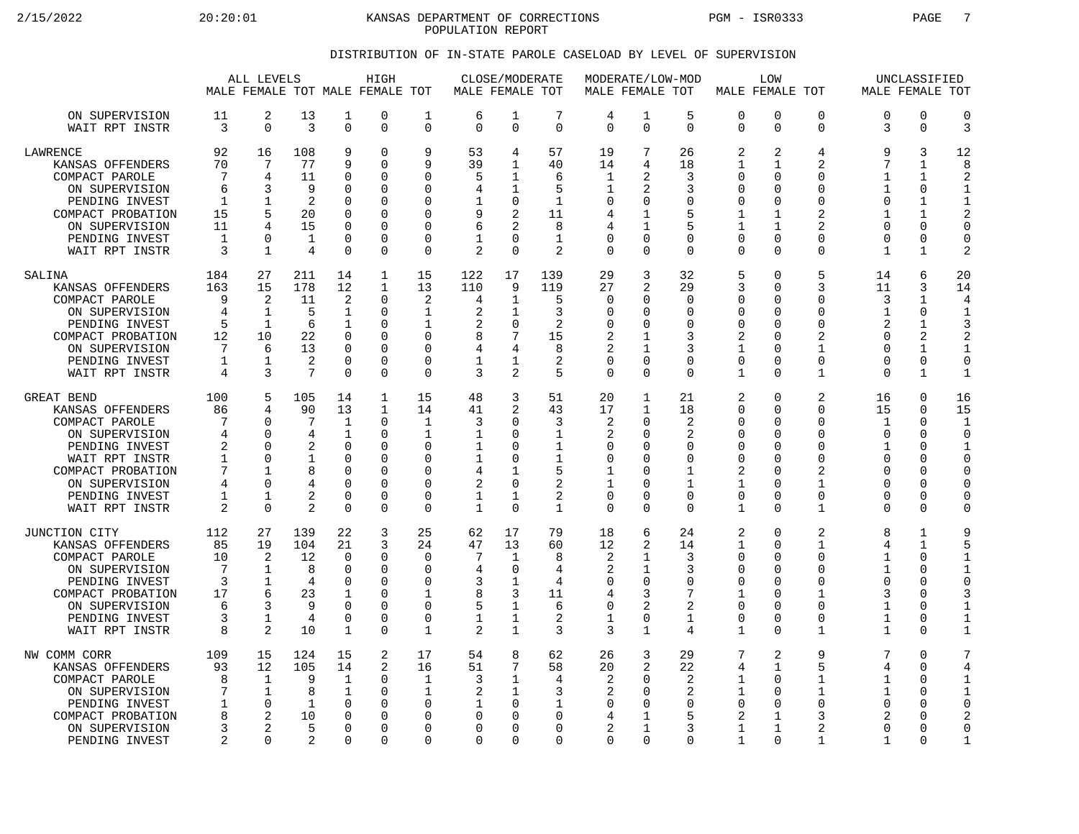2/15/2022 20:20:01 KANSAS DEPARTMENT OF CORRECTIONS PGM - ISR0333 PAGE 7 POPULATION REPORT

## DISTRIBUTION OF IN-STATE PAROLE CASELOAD BY LEVEL OF SUPERVISION

|                                                                                                                                                                                   | ALL LEVELS<br>MALE FEMALE TOT MALE FEMALE TOT                  |                                                                                                        |                                                                         |                                                                                                                          | HIGH                                                                   |                                                                                                          | MALE FEMALE TOT                                          | CLOSE/MODERATE                                                                                  |                                                                                    | MODERATE/LOW-MOD<br>MALE FEMALE TOT                                                            |                                                                                     |                                                                                 | MALE FEMALE TOT                                                                                            | LOW                                                                                                                  |                                                                                                  | MALE FEMALE TOT                                                                                                  | UNCLASSIFIED                                                                                   |                                                                                                                     |
|-----------------------------------------------------------------------------------------------------------------------------------------------------------------------------------|----------------------------------------------------------------|--------------------------------------------------------------------------------------------------------|-------------------------------------------------------------------------|--------------------------------------------------------------------------------------------------------------------------|------------------------------------------------------------------------|----------------------------------------------------------------------------------------------------------|----------------------------------------------------------|-------------------------------------------------------------------------------------------------|------------------------------------------------------------------------------------|------------------------------------------------------------------------------------------------|-------------------------------------------------------------------------------------|---------------------------------------------------------------------------------|------------------------------------------------------------------------------------------------------------|----------------------------------------------------------------------------------------------------------------------|--------------------------------------------------------------------------------------------------|------------------------------------------------------------------------------------------------------------------|------------------------------------------------------------------------------------------------|---------------------------------------------------------------------------------------------------------------------|
| ON SUPERVISION<br>WAIT RPT INSTR                                                                                                                                                  | 11<br>3                                                        | 2<br>$\mathbf 0$                                                                                       | 13<br>3                                                                 | 1<br>$\mathbf 0$                                                                                                         | 0<br>0                                                                 | 1<br>$\Omega$                                                                                            | 6<br>$\Omega$                                            | 1<br>$\mathbf 0$                                                                                | 7<br>$\Omega$                                                                      | 4<br>$\Omega$                                                                                  | 1<br>$\mathbf 0$                                                                    | 5<br>$\Omega$                                                                   | 0<br>$\mathbf 0$                                                                                           | $\mathbf 0$<br>$\Omega$                                                                                              | 0<br>$\mathbf 0$                                                                                 | $\Omega$<br>3                                                                                                    | $\mathbf 0$<br>$\mathbf 0$                                                                     | $\mathbf 0$<br>3                                                                                                    |
| LAWRENCE<br>KANSAS OFFENDERS<br>COMPACT PAROLE<br>ON SUPERVISION<br>PENDING INVEST<br>COMPACT PROBATION<br>ON SUPERVISION<br>PENDING INVEST<br>WAIT RPT INSTR                     | 92<br>70<br>7<br>6<br>$\mathbf{1}$<br>15<br>11<br>1<br>3       | 16<br>7<br>$\overline{4}$<br>3<br>$\mathbf{1}$<br>5<br>4<br>$\Omega$<br>1                              | 108<br>77<br>11<br>9<br>$\mathfrak{D}$<br>20<br>15<br>$\mathbf{1}$<br>4 | 9<br>9<br>$\mathbf 0$<br>0<br>$\Omega$<br>$\Omega$<br>$\Omega$<br>$\Omega$<br>$\Omega$                                   | 0<br>0<br>$\Omega$<br>0<br>$\Omega$<br>$\Omega$<br>0<br>0<br>0         | 9<br>9<br>$\Omega$<br>O<br>$\Omega$<br>O<br>$\Omega$<br>$\mathbf 0$<br>$\Omega$                          | 53<br>39<br>5<br>4<br>9<br>6<br>2                        | 4<br>1<br>1<br>1<br>0<br>2<br>2<br>$\Omega$<br>$\Omega$                                         | 57<br>40<br>6<br>5<br>$\mathbf{1}$<br>11<br>8<br>$\mathbf{1}$<br>$\overline{a}$    | 19<br>14<br>1<br>1<br>0<br>4<br>4<br>$\mathbf 0$<br>$\Omega$                                   | 7<br>4<br>$\mathfrak{D}$<br>2<br>$\Omega$<br>1<br>1<br>U<br>$\Omega$                | 26<br>18<br>3<br>3<br>$\Omega$<br>5<br>5<br>$\Omega$<br>$\Omega$                | 2<br>$\mathbf{1}$<br>$\mathbf 0$<br>0<br>$\Omega$<br>1<br>$\mathbf{1}$<br>0<br>$\Omega$                    | 2<br>1<br>∩<br>$\Omega$<br>$\Omega$<br>1<br>1<br>$\Omega$<br>$\Omega$                                                | 4<br>2<br>0<br>$\Omega$<br>$\Omega$<br>$\overline{2}$<br>2<br>0<br>$\Omega$                      | 9<br>7<br>1<br>1<br>$\Omega$<br>1<br>$\Omega$<br>$\Omega$<br>1                                                   | 3<br>1<br>1<br>0<br>1<br>$\mathbf{1}$<br>0<br>0<br>1                                           | 12<br>8<br>$\mathcal{D}$<br>$\mathbf{1}$<br>$\mathbf{1}$<br>$\mathbf 0$<br>$\mathbf 0$<br>2                         |
| SALINA<br>KANSAS OFFENDERS<br>COMPACT PAROLE<br>ON SUPERVISION<br>PENDING INVEST<br>COMPACT PROBATION<br>ON SUPERVISION<br>PENDING INVEST<br>WAIT RPT INSTR                       | 184<br>163<br>9<br>4<br>5<br>12<br>7<br>$\mathbf{1}$<br>4      | 27<br>15<br>2<br>1<br>$\mathbf{1}$<br>10<br>6<br>1<br>3                                                | 211<br>178<br>11<br>5<br>6<br>22<br>13<br>2<br>$7\phantom{.0}$          | 14<br>12<br>$\overline{2}$<br>$\mathbf{1}$<br>1<br>$\Omega$<br>$\Omega$<br>$\mathbf 0$<br>$\Omega$                       | 1<br>$\mathbf{1}$<br>0<br>0<br>0<br>$\Omega$<br>0<br>0<br>0            | 15<br>13<br>$\overline{2}$<br>1<br>1<br>$\Omega$<br>$\Omega$<br>$\mathbf 0$<br>$\Omega$                  | 122<br>110<br>4<br>2<br>2<br>8<br>4<br>1<br>3            | 17<br>9<br>1<br>1<br>$\mathbf 0$<br>7<br>4<br>1<br>2                                            | 139<br>119<br>5<br>3<br>2<br>15<br>8<br>2<br>5                                     | 29<br>27<br>$\mathbf 0$<br>0<br>$\mathbf 0$<br>2<br>2<br>$\mathbf 0$<br>$\Omega$               | 3<br>2<br>0<br>O<br>$\Omega$<br>1<br>$\mathbf{1}$<br>0<br>$\Omega$                  | 32<br>29<br>$\Omega$<br>$\Omega$<br>0<br>3<br>3<br>0<br>$\Omega$                | 5<br>3<br>$\Omega$<br>0<br>0<br>2<br>$\mathbf{1}$<br>$\mathbf 0$<br>1                                      | $\Omega$<br>$\Omega$<br>$\Omega$<br>$\Omega$<br>$\Omega$<br>O<br>$\Omega$<br>0<br>$\Omega$                           | 5<br>3<br>$\Omega$<br>$\Omega$<br>0<br>$\overline{2}$<br>$\mathbf{1}$<br>0<br>1                  | 14<br>11<br>3<br>1<br>$\mathfrak{D}$<br>$\Omega$<br>$\Omega$<br>$\Omega$<br>∩                                    | 6<br>3<br>1<br>0<br>$\mathbf{1}$<br>2<br>$\mathbf{1}$<br>$\mathbf 0$<br>1                      | 20<br>14<br>4<br>$\mathbf{1}$<br>$\overline{2}$<br>$\mathbf{1}$<br>$\mathbf 0$<br>$\mathbf{1}$                      |
| GREAT BEND<br>KANSAS OFFENDERS<br>COMPACT PAROLE<br>ON SUPERVISION<br>PENDING INVEST<br>WAIT RPT INSTR<br>COMPACT PROBATION<br>ON SUPERVISION<br>PENDING INVEST<br>WAIT RPT INSTR | 100<br>86<br>7<br>4<br>2<br>1<br>7<br>4<br>1<br>$\overline{2}$ | 5<br>4<br>$\Omega$<br>$\Omega$<br>$\Omega$<br>$\Omega$<br>$\mathbf{1}$<br>$\Omega$<br>1<br>$\mathbf 0$ | 105<br>90<br>7<br>4<br>1<br>8<br>4<br>2<br>2                            | 14<br>13<br>$\mathbf 1$<br>$\mathbf{1}$<br>$\mathbf 0$<br>$\Omega$<br>$\Omega$<br>$\Omega$<br>$\mathbf 0$<br>$\mathbf 0$ | 1<br>$\mathbf 1$<br>0<br>0<br>0<br>$\Omega$<br>0<br>$\Omega$<br>0<br>0 | 15<br>14<br>$\mathbf{1}$<br>1<br>$\Omega$<br>$\Omega$<br>$\Omega$<br>$\Omega$<br>$\Omega$<br>$\mathbf 0$ | 48<br>41<br>3<br>1<br>1<br>4<br>2<br>1<br>$\mathbf{1}$   | 3<br>2<br>$\Omega$<br>$\Omega$<br>$\Omega$<br>$\Omega$<br>1<br>$\mathbf 0$<br>1<br>$\Omega$     | 51<br>43<br>3<br>1<br>$\mathbf 1$<br>1<br>5<br>$\overline{a}$<br>2<br>$\mathbf{1}$ | 20<br>17<br>$\overline{2}$<br>2<br>$\mathbf 0$<br>0<br>1<br>1<br>$\mathbf 0$<br>$\overline{0}$ | 1<br>$\mathbf{1}$<br>$\Omega$<br>O<br>U<br>U<br>$\Omega$<br>$\Omega$<br>$\mathbf 0$ | 21<br>18<br>2<br>2<br>0<br>$\Omega$<br>1<br>$\mathbf 1$<br>$\Omega$<br>$\Omega$ | 2<br>$\Omega$<br>$\Omega$<br>0<br>$\Omega$<br>$\Omega$<br>2<br>$\mathbf{1}$<br>$\mathbf 0$<br>$\mathbf{1}$ | $\Omega$<br>$\Omega$<br>$\Omega$<br>$\Omega$<br>$\Omega$<br>$\Omega$<br>$\Omega$<br>$\Omega$<br>$\Omega$<br>$\Omega$ | 2<br>0<br>$\Omega$<br>$\Omega$<br>$\Omega$<br>$\Omega$<br>2<br>$\mathbf{1}$<br>0<br>$\mathbf{1}$ | 16<br>15<br>$\mathbf{1}$<br>$\Omega$<br>$\mathbf{1}$<br>$\Omega$<br>$\Omega$<br>$\Omega$<br>$\Omega$<br>$\Omega$ | $\mathbf 0$<br>$\Omega$<br>$\mathbf 0$<br>$\Omega$<br>0<br>$\Omega$<br>$\Omega$<br>0<br>0<br>0 | 16<br>15<br>$\mathbf{1}$<br>$\Omega$<br>$\mathbf{1}$<br>$\Omega$<br>$\Omega$<br>$\mathbf 0$<br>$\Omega$<br>$\Omega$ |
| JUNCTION CITY<br>KANSAS OFFENDERS<br>COMPACT PAROLE<br>ON SUPERVISION<br>PENDING INVEST<br>COMPACT PROBATION<br>ON SUPERVISION<br>PENDING INVEST<br>WAIT RPT INSTR                | 112<br>85<br>10<br>7<br>3<br>17<br>6<br>3<br>8                 | 27<br>19<br>2<br>1<br>1<br>6<br>3<br>1<br>2                                                            | 139<br>104<br>12<br>8<br>4<br>23<br>9<br>4<br>10                        | 22<br>21<br>$\Omega$<br>$\mathbf 0$<br>$\Omega$<br>1<br>$\Omega$<br>$\Omega$<br>$\mathbf{1}$                             | 3<br>3<br>0<br>0<br>$\Omega$<br>0<br>0<br>$\Omega$<br>0                | 25<br>24<br>$\Omega$<br>$\mathbf 0$<br>$\Omega$<br>1<br>$\Omega$<br>$\Omega$<br>1                        | 62<br>47<br>7<br>4<br>3<br>8<br>5<br>1<br>2              | 17<br>13<br>1<br>$\mathbf 0$<br>$\mathbf 1$<br>3<br>$\mathbf{1}$<br>$\mathbf 1$<br>$\mathbf{1}$ | 79<br>60<br>8<br>4<br>4<br>11<br>6<br>2<br>3                                       | 18<br>12<br>2<br>2<br>0<br>4<br>$\mathbf 0$<br>1<br>3                                          | 6<br>2<br>1<br>$\mathbf{1}$<br>$\Omega$<br>3<br>2<br>$\Omega$<br>$\mathbf{1}$       | 24<br>14<br>3<br>3<br>0<br>7<br>$\overline{2}$<br>1<br>4                        | 2<br>$\mathbf{1}$<br>0<br>0<br>$\Omega$<br>1<br>$\mathbf 0$<br>$\Omega$<br>$\mathbf{1}$                    | $\Omega$<br>$\Omega$<br>$\Omega$<br>$\Omega$<br>$\Omega$<br>∩<br>$\Omega$<br>$\Omega$<br>$\Omega$                    | 2<br>$\mathbf{1}$<br>$\Omega$<br>0<br>$\Omega$<br>1<br>0<br>$\Omega$<br>$\mathbf{1}$             | 8<br>4<br>1<br>1<br>$\Omega$<br>3<br>1<br>1<br>1                                                                 | 1<br>$\mathbf{1}$<br>$\Omega$<br>0<br>$\Omega$<br>0<br>$\Omega$<br>$\Omega$<br>0               | 9<br>5<br>$\mathbf{1}$<br>$\mathbf{1}$<br>$\Omega$<br>3<br>$\mathbf{1}$<br>1<br>$\mathbf{1}$                        |
| NW COMM CORR<br>KANSAS OFFENDERS<br>COMPACT PAROLE<br>ON SUPERVISION<br>PENDING INVEST<br>COMPACT PROBATION<br>ON SUPERVISION<br>PENDING INVEST                                   | 109<br>93<br>8<br>7<br>1<br>8<br>3<br>$\overline{2}$           | 15<br>12<br>1<br>1<br>$\Omega$<br>2<br>$\overline{2}$<br>$\Omega$                                      | 124<br>105<br>9<br>8<br>1<br>10<br>5<br>2                               | 15<br>14<br>1<br>1<br>$\Omega$<br>$\mathbf 0$<br>0<br>$\Omega$                                                           | 2<br>2<br>0<br>0<br>$\Omega$<br>0<br>0<br>$\Omega$                     | 17<br>16<br>1<br>$\mathbf{1}$<br>O<br>$\Omega$<br>$\Omega$<br>$\Omega$                                   | 54<br>51<br>3<br>2<br>1<br>0<br><sup>0</sup><br>$\Omega$ | 8<br>$7\phantom{.0}$<br>1<br>$\mathbf 1$<br><sup>0</sup><br>$\Omega$<br>$\Omega$<br>$\Omega$    | 62<br>58<br>4<br>3<br>1<br>$\Omega$<br>$\Omega$<br>$\Omega$                        | 26<br>20<br>2<br>2<br>0<br>4<br>2<br>$\Omega$                                                  | 3<br>2<br>U<br>$\Omega$<br>O<br>1<br>$\Omega$                                       | 29<br>22<br>2<br>2<br>$\Omega$<br>5<br>3<br>$\Omega$                            | 7<br>4<br>1<br>$\mathbf 1$<br>$\Omega$<br>2<br>1<br>1                                                      | 2<br>1<br>$\Omega$<br>$\Omega$<br>$\Omega$<br>1<br>1<br>$\Omega$                                                     | 9<br>5<br>1<br>$\mathbf{1}$<br>$\Omega$<br>3<br>$\overline{2}$<br>1                              | 7<br>4<br>1<br>$\mathbf{1}$<br>$\Omega$<br>2<br>$\Omega$<br>1                                                    | $\mathbf 0$<br>0<br>0<br>0<br>$\Omega$<br>0<br>0<br>$\Omega$                                   | 7<br>4<br>1<br>$\mathbf{1}$<br>$\Omega$<br>2<br>$\Omega$<br>$\mathbf{1}$                                            |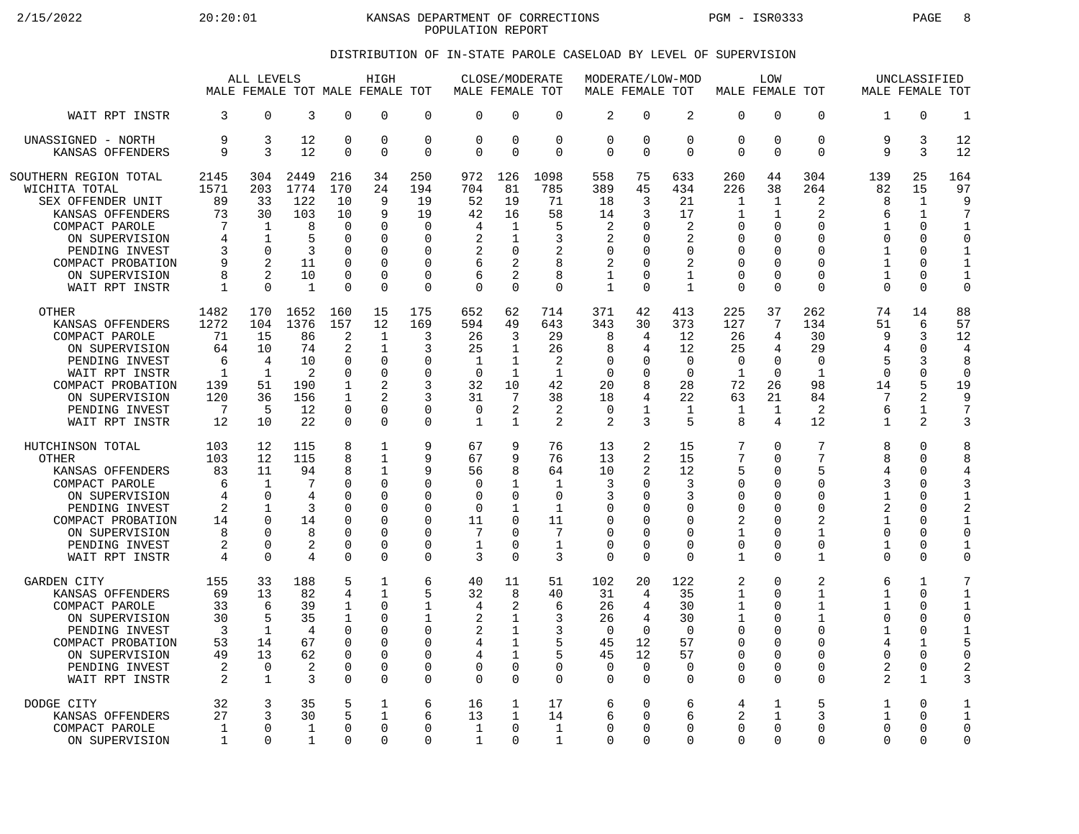2/15/2022 20:20:01 KANSAS DEPARTMENT OF CORRECTIONS PGM - ISR0333 PAGE 8 POPULATION REPORT

## DISTRIBUTION OF IN-STATE PAROLE CASELOAD BY LEVEL OF SUPERVISION

|                       | ALL LEVELS<br>MALE FEMALE TOT MALE FEMALE TOT |                |              |              | HIGH           |              | MALE FEMALE TOT | CLOSE/MODERATE  |              | MODERATE/LOW-MOD<br>MALE FEMALE TOT |                |                | MALE FEMALE TOT | LOW          |              | MALE FEMALE TOT | UNCLASSIFIED   |                |
|-----------------------|-----------------------------------------------|----------------|--------------|--------------|----------------|--------------|-----------------|-----------------|--------------|-------------------------------------|----------------|----------------|-----------------|--------------|--------------|-----------------|----------------|----------------|
| WAIT RPT INSTR        | 3                                             | 0              | 3            | $\Omega$     | $\Omega$       | $\mathbf 0$  | $\mathbf 0$     | $\Omega$        | $\mathbf 0$  | $\overline{2}$                      | 0              | $\overline{2}$ | $\Omega$        | 0            | $\Omega$     | 1               | $\Omega$       | $\mathbf{1}$   |
| UNASSIGNED - NORTH    | 9                                             | 3              | 12           | 0            | $\Omega$       | $\mathbf 0$  | $\mathbf 0$     | $\mathbf 0$     | $\mathbf 0$  | $\mathbf 0$                         | $\mathbf 0$    | 0              | 0               | 0            | $\mathbf 0$  | 9               | 3              | 12             |
| KANSAS OFFENDERS      | 9                                             | 3              | 12           | $\Omega$     | $\Omega$       | $\Omega$     | $\Omega$        | $\Omega$        | $\Omega$     | $\Omega$                            | $\Omega$       | $\Omega$       | $\Omega$        | $\Omega$     | $\Omega$     | 9               | 3              | 12             |
| SOUTHERN REGION TOTAL | 2145                                          | 304            | 2449         | 216          | 34             | 250          | 972             | 126             | 1098         | 558                                 | 75             | 633            | 260             | 44           | 304          | 139             | 25             | 164            |
| WICHITA TOTAL         | 1571                                          | 203            | 1774         | 170          | 24             | 194          | 704             | 81              | 785          | 389                                 | 45             | 434            | 226             | 38           | 264          | 82              | 15             | 97             |
| SEX OFFENDER UNIT     | 89                                            | 33             | 122          | 10           | 9              | 19           | 52              | 19              | 71           | 18                                  | 3              | 21             | $\mathbf{1}$    | 1            | 2            | 8               | $\mathbf{1}$   | 9              |
| KANSAS OFFENDERS      | 73                                            | 30             | 103          | 10           | 9              | 19           | 42              | 16              | 58           | 14                                  | 3              | 17             | 1               | 1            | 2            | 6               | $\mathbf{1}$   | $\overline{7}$ |
| COMPACT PAROLE        | 7                                             | 1              | 8            | 0            | $\Omega$       | 0            | 4               | 1               | 5            | 2                                   | U              | 2              | 0               | 0            | $\mathbf 0$  | 1               | $\mathbf 0$    | $\mathbf{1}$   |
| ON SUPERVISION        | 4                                             | 1              | 5            | $\Omega$     | $\Omega$       | $\Omega$     | $\overline{2}$  | 1               | 3            | $\overline{2}$                      | O              | $\overline{2}$ | $\Omega$        | $\Omega$     | $\Omega$     | $\Omega$        | $\Omega$       | $\Omega$       |
| PENDING INVEST        | 3                                             | $\Omega$       | 3            | $\Omega$     | ∩              | O            | 2               | 0               | 2            | $\Omega$                            | U              | $\Omega$       | 0               | U            | $\Omega$     | $\mathbf 1$     | $\Omega$       | $\mathbf{1}$   |
| COMPACT PROBATION     | 9                                             | $\overline{2}$ | 11           | $\Omega$     | $\Omega$       | 0            | 6               | 2               | 8            | $\overline{2}$                      | O              | 2              | $\mathbf 0$     | 0            | $\Omega$     | $\mathbf{1}$    | $\Omega$       | $\mathbf{1}$   |
| ON SUPERVISION        | 8                                             | $\mathfrak{D}$ | 10           | 0            | $\Omega$       | 0            | 6               | 2               | 8            | 1                                   | U              | $\mathbf{1}$   | $\Omega$        | $\Omega$     | $\Omega$     | 1               | $\Omega$       | $\mathbf{1}$   |
| WAIT RPT INSTR        | $\mathbf{1}$                                  | $\Omega$       | $\mathbf{1}$ | $\Omega$     | $\Omega$       | $\Omega$     | $\Omega$        | $\Omega$        | $\Omega$     | $\mathbf{1}$                        | $\Omega$       | $\mathbf{1}$   | $\Omega$        | $\Omega$     | $\Omega$     | $\Omega$        | $\Omega$       | $\mathbf 0$    |
| <b>OTHER</b>          | 1482                                          | 170            | 1652         | 160          | 15             | 175          | 652             | 62              | 714          | 371                                 | 42             | 413            | 225             | 37           | 262          | 74              | 14             | 88             |
| KANSAS OFFENDERS      | 1272                                          | 104            | 1376         | 157          | 12             | 169          | 594             | 49              | 643          | 343                                 | 30             | 373            | 127             | 7            | 134          | 51              | 6              | 57             |
| COMPACT PAROLE        | 71                                            | 15             | 86           | 2            | $\mathbf{1}$   | 3            | 26              | 3               | 29           | 8                                   | 4              | 12             | 26              | 4            | 30           | 9               | 3              | 12             |
| ON SUPERVISION        | 64                                            | 10             | 74           | 2            | 1              | 3            | 25              | 1               | 26           | 8                                   | 4              | 12             | 25              | 4            | 29           | 4               | $\Omega$       | $\overline{4}$ |
| PENDING INVEST        | 6                                             | $\overline{4}$ | 10           | $\Omega$     | $\Omega$       | O            | $\mathbf 1$     | 1               | 2            | $\mathbf 0$                         | U              | $\mathbf 0$    | $\mathbf 0$     | 0            | $\mathbf 0$  | 5               | 3              | 8              |
| WAIT RPT INSTR        | $\mathbf{1}$                                  | $\mathbf{1}$   | 2            | $\Omega$     | $\Omega$       | $\Omega$     | $\Omega$        | $\mathbf{1}$    | $\mathbf{1}$ | $\Omega$                            | $\Omega$       | $\Omega$       | $\mathbf{1}$    | $\Omega$     | $\mathbf{1}$ | $\Omega$        | $\Omega$       | $\mathbf 0$    |
| COMPACT PROBATION     | 139                                           | 51             | 190          | 1            | $\overline{c}$ | 3            | 32              | 10              | 42           | 20                                  | 8              | 28             | 72              | 26           | 98           | 14              | 5              | 19             |
| ON SUPERVISION        | 120                                           | 36             | 156          | $\mathbf{1}$ | $\mathcal{D}$  | 3            | 31              | $7\phantom{.0}$ | 38           | 18                                  | 4              | 22             | 63              | 21           | 84           | 7               | $\overline{a}$ | 9              |
| PENDING INVEST        | 7                                             | 5              | 12           | $\Omega$     | $\Omega$       | 0            | $\Omega$        | 2               | 2            | $\Omega$                            | $\mathbf{1}$   | 1              | 1               | $\mathbf{1}$ | 2            | 6               | 1              | $\overline{7}$ |
| WAIT RPT INSTR        | 12                                            | 10             | 22           | $\Omega$     | $\Omega$       | 0            | $\mathbf 1$     | $\mathbf{1}$    | 2            | 2                                   | 3              | 5              | 8               | 4            | 12           | 1               | 2              | 3              |
| HUTCHINSON TOTAL      | 103                                           | 12             | 115          | 8            | 1              | 9            | 67              | 9               | 76           | 13                                  | 2              | 15             | 7               | 0            | 7            | 8               | $\Omega$       | 8              |
| <b>OTHER</b>          | 103                                           | 12             | 115          | 8            | $\mathbf{1}$   | 9            | 67              | 9               | 76           | 13                                  | 2              | 15             | 7               | $\Omega$     | 7            | 8               | $\Omega$       | 8              |
| KANSAS OFFENDERS      | 83                                            | 11             | 94           | 8            | 1              | 9            | 56              | 8               | 64           | 10                                  | 2              | 12             | 5               | 0            | 5            | 4               | $\Omega$       | 4              |
| COMPACT PAROLE        | 6                                             | $\mathbf 1$    | 7            | 0            | $\Omega$       | 0            | $\mathbf 0$     | $\mathbf{1}$    | $\mathbf{1}$ | 3                                   | $\Omega$       | 3              | $\Omega$        | 0            | $\Omega$     | 3               | $\Omega$       | 3              |
| ON SUPERVISION        | 4                                             | $\Omega$       | 4            | O            | $\Omega$       | O            | $\Omega$        | $\Omega$        | $\Omega$     | 3                                   | U              | 3              | $\Omega$        | $\Omega$     | $\Omega$     | $\mathbf{1}$    | $\Omega$       | $\mathbf{1}$   |
| PENDING INVEST        | 2                                             | $\mathbf 1$    | 3            | U            | $\Omega$       | 0            | $\mathbf 0$     | $\mathbf{1}$    | $\mathbf{1}$ | $\mathbf 0$                         | $\Omega$       | 0              | $\mathbf 0$     | 0            | $\mathbf 0$  | 2               | $\Omega$       | $\overline{2}$ |
| COMPACT PROBATION     | 14                                            | $\Omega$       | 14           | O            | $\Omega$       | 0            | 11              | $\Omega$        | 11           | $\Omega$                            | U              | $\Omega$       | 2               | $\Omega$     | 2            | 1               | $\Omega$       | $\mathbf{1}$   |
| ON SUPERVISION        | 8                                             | $\Omega$       | 8            | $\Omega$     | $\Omega$       | 0            | 7               | $\Omega$        | 7            | $\Omega$                            | O              | $\Omega$       | $\mathbf{1}$    | $\Omega$     | $\mathbf{1}$ | $\Omega$        | $\Omega$       | $\Omega$       |
| PENDING INVEST        | 2                                             | 0              | 2            | $\Omega$     | $\Omega$       | 0            | $\mathbf{1}$    | 0               | $\mathbf{1}$ | $\mathbf 0$                         | $\Omega$       | $\Omega$       | $\mathbf 0$     | 0            | $\mathbf 0$  | $\mathbf{1}$    | $\Omega$       | $\mathbf 1$    |
| WAIT RPT INSTR        | 4                                             | $\Omega$       | 4            | $\Omega$     | $\Omega$       | $\mathbf 0$  | 3               | $\Omega$        | 3            | $\mathbf 0$                         | $\Omega$       | $\Omega$       | $\mathbf{1}$    | $\Omega$     | $\mathbf{1}$ | 0               | $\Omega$       | $\circ$        |
| <b>GARDEN CITY</b>    | 155                                           | 33             | 188          | 5            | 1              | 6            | 40              | 11              | 51           | 102                                 | 20             | 122            | 2               | 0            | 2            | 6               | $\mathbf{1}$   | 7              |
| KANSAS OFFENDERS      | 69                                            | 13             | 82           | 4            | 1              | 5            | 32              | 8               | 40           | 31                                  | $\overline{4}$ | 35             | $\mathbf{1}$    | $\Omega$     | $\mathbf{1}$ | $\mathbf{1}$    | $\Omega$       | $\mathbf{1}$   |
| COMPACT PAROLE        | 33                                            | 6              | 39           | 1            | $\Omega$       | 1            | 4               | 2               | 6            | 26                                  | 4              | 30             | $\mathbf{1}$    | O            | $\mathbf 1$  | $\mathbf{1}$    | $\Omega$       | $\mathbf 1$    |
| ON SUPERVISION        | 30                                            | 5              | 35           | 1            | $\Omega$       | $\mathbf{1}$ | $\overline{2}$  | $\mathbf{1}$    | 3            | 26                                  | 4              | 30             | $\mathbf{1}$    | 0            | $\mathbf{1}$ | $\Omega$        | $\Omega$       | $\Omega$       |
| PENDING INVEST        | 3                                             | 1              | 4            | $\Omega$     | $\Omega$       | 0            | 2               | 1               | 3            | $\Omega$                            | $\Omega$       | $\Omega$       | $\Omega$        | O            | $\Omega$     | 1               | $\Omega$       | $\mathbf{1}$   |
| COMPACT PROBATION     | 53                                            | 14             | 67           | $\Omega$     | $\Omega$       | 0            | 4               | $\mathbf{1}$    | 5            | 45                                  | 12             | 57             | $\Omega$        | 0            | $\mathbf 0$  | 4               | $\mathbf{1}$   | 5              |
| ON SUPERVISION        | 49                                            | 13             | 62           | $\Omega$     | $\Omega$       | 0            | 4               | $\mathbf{1}$    | 5            | 45                                  | 12             | 57             | $\Omega$        | $\Omega$     | $\Omega$     | O               | $\Omega$       | $\Omega$       |
| PENDING INVEST        | 2                                             | $\mathbf 0$    | 2            | 0            | $\Omega$       | 0            | 0               | $\mathbf 0$     | $\mathbf 0$  | $\mathbf 0$                         | $\mathbf 0$    | 0              | $\Omega$        | 0            | 0            | 2               | 0              | $\overline{2}$ |
| WAIT RPT INSTR        | $\overline{2}$                                | $\mathbf{1}$   | 3            | $\Omega$     | $\Omega$       | $\mathbf 0$  | $\Omega$        | $\Omega$        | $\Omega$     | $\Omega$                            | $\Omega$       | $\Omega$       | $\Omega$        | $\Omega$     | $\Omega$     | 2               | $\mathbf{1}$   | 3              |
| DODGE CITY            | 32                                            | 3              | 35           | 5            | $\mathbf{1}$   | 6            | 16              | 1               | 17           | 6                                   | $\mathbf 0$    | 6              | 4               | 1            | 5            | 1               | $\Omega$       | $\mathbf{1}$   |
| KANSAS OFFENDERS      | 27                                            | 3              | 30           | 5            | 1              | 6            | 13              | 1               | 14           | 6                                   | U              | 6              | 2               | 1            | 3            | 1               | $\cap$         | $\mathbf{1}$   |
| COMPACT PAROLE        | 1                                             | $\Omega$       | $\mathbf{1}$ | 0            | $\Omega$       | 0            | $\mathbf 1$     | $\Omega$        | $\mathbf{1}$ | $\Omega$                            | $\Omega$       | $\Omega$       | $\Omega$        | $\Omega$     | $\Omega$     | $\Omega$        | $\Omega$       | $\mathbf 0$    |
| ON SUPERVISION        | 1                                             | $\Omega$       | 1            | U            | $\Omega$       | 0            | $\mathbf 1$     | $\Omega$        | 1            | $\Omega$                            | $\Omega$       | $\Omega$       | $\Omega$        | $\Omega$     | $\Omega$     | $\Omega$        | $\Omega$       | $\Omega$       |